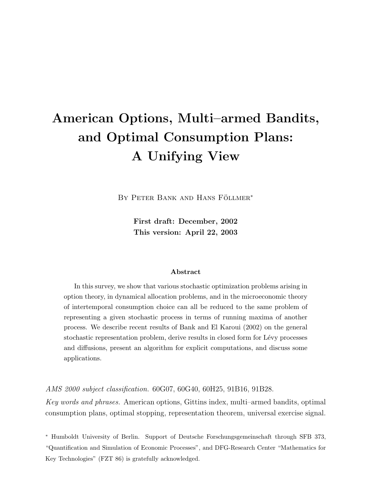# American Options, Multi–armed Bandits, and Optimal Consumption Plans: A Unifying View

BY PETER BANK AND HANS FÖLLMER<sup>\*</sup>

First draft: December, 2002 This version: April 22, 2003

#### Abstract

In this survey, we show that various stochastic optimization problems arising in option theory, in dynamical allocation problems, and in the microeconomic theory of intertemporal consumption choice can all be reduced to the same problem of representing a given stochastic process in terms of running maxima of another process. We describe recent results of Bank and El Karoui (2002) on the general stochastic representation problem, derive results in closed form for Lévy processes and diffusions, present an algorithm for explicit computations, and discuss some applications.

AMS 2000 subject classification. 60G07, 60G40, 60H25, 91B16, 91B28.

Key words and phrases. American options, Gittins index, multi–armed bandits, optimal consumption plans, optimal stopping, representation theorem, universal exercise signal.

<sup>∗</sup> Humboldt University of Berlin. Support of Deutsche Forschungsgemeinschaft through SFB 373, "Quantification and Simulation of Economic Processes", and DFG-Research Center "Mathematics for Key Technologies" (FZT 86) is gratefully acknowledged.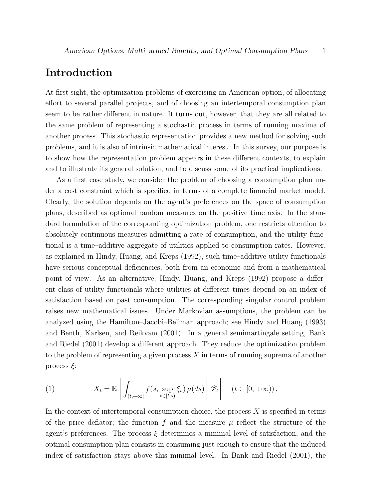# Introduction

At first sight, the optimization problems of exercising an American option, of allocating effort to several parallel projects, and of choosing an intertemporal consumption plan seem to be rather different in nature. It turns out, however, that they are all related to the same problem of representing a stochastic process in terms of running maxima of another process. This stochastic representation provides a new method for solving such problems, and it is also of intrinsic mathematical interest. In this survey, our purpose is to show how the representation problem appears in these different contexts, to explain and to illustrate its general solution, and to discuss some of its practical implications.

As a first case study, we consider the problem of choosing a consumption plan under a cost constraint which is specified in terms of a complete financial market model. Clearly, the solution depends on the agent's preferences on the space of consumption plans, described as optional random measures on the positive time axis. In the standard formulation of the corresponding optimization problem, one restricts attention to absolutely continuous measures admitting a rate of consumption, and the utility functional is a time–additive aggregate of utilities applied to consumption rates. However, as explained in Hindy, Huang, and Kreps (1992), such time–additive utility functionals have serious conceptual deficiencies, both from an economic and from a mathematical point of view. As an alternative, Hindy, Huang, and Kreps (1992) propose a different class of utility functionals where utilities at different times depend on an index of satisfaction based on past consumption. The corresponding singular control problem raises new mathematical issues. Under Markovian assumptions, the problem can be analyzed using the Hamilton–Jacobi–Bellman approach; see Hindy and Huang (1993) and Benth, Karlsen, and Reikvam (2001). In a general semimartingale setting, Bank and Riedel (2001) develop a different approach. They reduce the optimization problem to the problem of representing a given process  $X$  in terms of running suprema of another process ξ:

<span id="page-1-0"></span>(1) 
$$
X_t = \mathbb{E}\left[\int_{(t,+\infty]} f(s,\sup_{v\in[t,s)} \xi_v) \,\mu(ds) \middle| \mathscr{F}_t\right] \quad (t\in[0,+\infty)).
$$

In the context of intertemporal consumption choice, the process  $X$  is specified in terms of the price deflator; the function f and the measure  $\mu$  reflect the structure of the agent's preferences. The process  $\xi$  determines a minimal level of satisfaction, and the optimal consumption plan consists in consuming just enough to ensure that the induced index of satisfaction stays above this minimal level. In Bank and Riedel (2001), the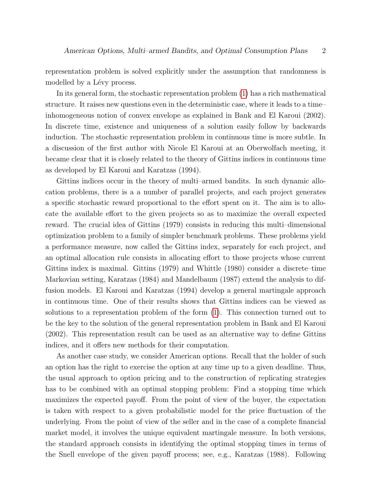representation problem is solved explicitly under the assumption that randomness is modelled by a Lévy process.

In its general form, the stochastic representation problem [\(1\)](#page-1-0) has a rich mathematical structure. It raises new questions even in the deterministic case, where it leads to a time– inhomogeneous notion of convex envelope as explained in Bank and El Karoui (2002). In discrete time, existence and uniqueness of a solution easily follow by backwards induction. The stochastic representation problem in continuous time is more subtle. In a discussion of the first author with Nicole El Karoui at an Oberwolfach meeting, it became clear that it is closely related to the theory of Gittins indices in continuous time as developed by El Karoui and Karatzas (1994).

Gittins indices occur in the theory of multi–armed bandits. In such dynamic allocation problems, there is a a number of parallel projects, and each project generates a specific stochastic reward proportional to the effort spent on it. The aim is to allocate the available effort to the given projects so as to maximize the overall expected reward. The crucial idea of Gittins (1979) consists in reducing this multi–dimensional optimization problem to a family of simpler benchmark problems. These problems yield a performance measure, now called the Gittins index, separately for each project, and an optimal allocation rule consists in allocating effort to those projects whose current Gittins index is maximal. Gittins (1979) and Whittle (1980) consider a discrete–time Markovian setting, Karatzas (1984) and Mandelbaum (1987) extend the analysis to diffusion models. El Karoui and Karatzas (1994) develop a general martingale approach in continuous time. One of their results shows that Gittins indices can be viewed as solutions to a representation problem of the form [\(1\)](#page-1-0). This connection turned out to be the key to the solution of the general representation problem in Bank and El Karoui (2002). This representation result can be used as an alternative way to define Gittins indices, and it offers new methods for their computation.

As another case study, we consider American options. Recall that the holder of such an option has the right to exercise the option at any time up to a given deadline. Thus, the usual approach to option pricing and to the construction of replicating strategies has to be combined with an optimal stopping problem: Find a stopping time which maximizes the expected payoff. From the point of view of the buyer, the expectation is taken with respect to a given probabilistic model for the price fluctuation of the underlying. From the point of view of the seller and in the case of a complete financial market model, it involves the unique equivalent martingale measure. In both versions, the standard approach consists in identifying the optimal stopping times in terms of the Snell envelope of the given payoff process; see, e.g., Karatzas (1988). Following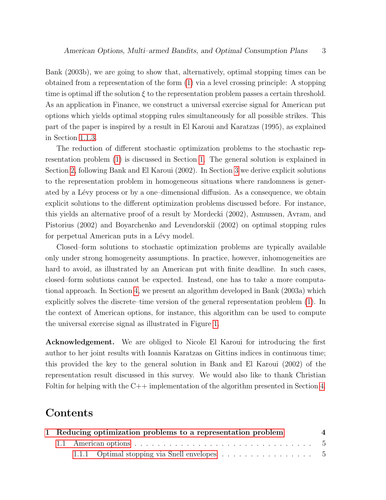Bank (2003b), we are going to show that, alternatively, optimal stopping times can be obtained from a representation of the form [\(1\)](#page-1-0) via a level crossing principle: A stopping time is optimal iff the solution  $\xi$  to the representation problem passes a certain threshold. As an application in Finance, we construct a universal exercise signal for American put options which yields optimal stopping rules simultaneously for all possible strikes. This part of the paper is inspired by a result in El Karoui and Karatzas (1995), as explained in Section [1.1.3.](#page-14-0)

The reduction of different stochastic optimization problems to the stochastic representation problem [\(1\)](#page-1-0) is discussed in Section [1.](#page-4-0) The general solution is explained in Section [2,](#page-27-0) following Bank and El Karoui (2002). In Section [3](#page-34-0) we derive explicit solutions to the representation problem in homogeneous situations where randomness is generated by a Lévy process or by a one–dimensional diffusion. As a consequence, we obtain explicit solutions to the different optimization problems discussed before. For instance, this yields an alternative proof of a result by Mordecki (2002), Asmussen, Avram, and Pistorius (2002) and Boyarchenko and Levendorskiı̆ (2002) on optimal stopping rules for perpetual American puts in a Lévy model.

Closed–form solutions to stochastic optimization problems are typically available only under strong homogeneity assumptions. In practice, however, inhomogeneities are hard to avoid, as illustrated by an American put with finite deadline. In such cases, closed–form solutions cannot be expected. Instead, one has to take a more computational approach. In Section [4,](#page-39-0) we present an algorithm developed in Bank (2003a) which explicitly solves the discrete–time version of the general representation problem [\(1\)](#page-1-0). In the context of American options, for instance, this algorithm can be used to compute the universal exercise signal as illustrated in Figure [1.](#page-15-0)

Acknowledgement. We are obliged to Nicole El Karoui for introducing the first author to her joint results with Ioannis Karatzas on Gittins indices in continuous time; this provided the key to the general solution in Bank and El Karoui (2002) of the representation result discussed in this survey. We would also like to thank Christian Foltin for helping with the C++ implementation of the algorithm presented in Section [4.](#page-39-0)

# Contents

| 1 Reducing optimization problems to a representation problem |  |                                              | $\boldsymbol{\Lambda}$ |
|--------------------------------------------------------------|--|----------------------------------------------|------------------------|
|                                                              |  |                                              |                        |
|                                                              |  | 1.1.1 Optimal stopping via Snell envelopes 5 |                        |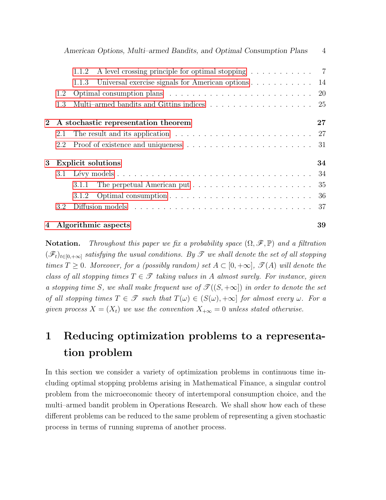|                |                                     | American Options, Multi-armed Bandits, and Optimal Consumption Plans                               | $\overline{4}$ |  |
|----------------|-------------------------------------|----------------------------------------------------------------------------------------------------|----------------|--|
|                |                                     | A level crossing principle for optimal stopping 7<br>1.1.2                                         |                |  |
|                |                                     | Universal exercise signals for American options 14<br>1.1.3                                        |                |  |
|                | 1.2                                 |                                                                                                    |                |  |
|                | 1.3                                 |                                                                                                    | 25             |  |
| $\overline{2}$ | A stochastic representation theorem |                                                                                                    |                |  |
|                | 2.1                                 | The result and its application $\ldots \ldots \ldots \ldots \ldots \ldots \ldots \ldots \ldots 27$ |                |  |
|                | 2.2                                 | Proof of existence and uniqueness $\dots \dots \dots \dots \dots \dots \dots \dots \dots \dots$    |                |  |
| 3              | <b>Explicit solutions</b>           |                                                                                                    |                |  |
|                |                                     |                                                                                                    | -34            |  |
|                |                                     | 3.1.1                                                                                              |                |  |
|                |                                     | 3.1.2                                                                                              |                |  |
|                | $3.2\,$                             |                                                                                                    |                |  |
|                |                                     | 4 Algorithmic aspects                                                                              | 39             |  |

**Notation.** Throughout this paper we fix a probability space  $(\Omega, \mathcal{F}, \mathbb{P})$  and a filtration  $(\mathscr{F}_t)_{t\in[0,+\infty]}$  satisfying the usual conditions. By  $\mathscr T$  we shall denote the set of all stopping times  $T \geq 0$ . Moreover, for a (possibly random) set  $A \subset [0, +\infty]$ ,  $\mathscr{T}(A)$  will denote the class of all stopping times  $T \in \mathcal{T}$  taking values in A almost surely. For instance, given a stopping time S, we shall make frequent use of  $\mathcal{T}((S, +\infty))$  in order to denote the set of all stopping times  $T \in \mathcal{T}$  such that  $T(\omega) \in (S(\omega), +\infty]$  for almost every  $\omega$ . For a given process  $X = (X_t)$  we use the convention  $X_{+\infty} = 0$  unless stated otherwise.

# <span id="page-4-0"></span>1 Reducing optimization problems to a representation problem

In this section we consider a variety of optimization problems in continuous time including optimal stopping problems arising in Mathematical Finance, a singular control problem from the microeconomic theory of intertemporal consumption choice, and the multi–armed bandit problem in Operations Research. We shall show how each of these different problems can be reduced to the same problem of representing a given stochastic process in terms of running suprema of another process.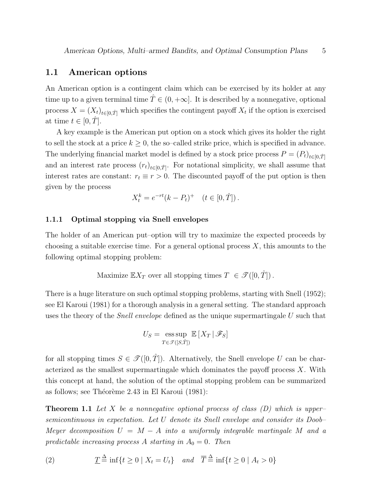#### <span id="page-5-0"></span>1.1 American options

An American option is a contingent claim which can be exercised by its holder at any time up to a given terminal time  $\hat{T} \in (0, +\infty]$ . It is described by a nonnegative, optional process  $X = (X_t)_{t \in [0, \hat{T}]}$  which specifies the contingent payoff  $X_t$  if the option is exercised at time  $t \in [0, T]$ .

A key example is the American put option on a stock which gives its holder the right to sell the stock at a price  $k \geq 0$ , the so–called strike price, which is specified in advance. The underlying financial market model is defined by a stock price process  $P = (P_t)_{t \in [0,\hat{T}]}$ and an interest rate process  $(r_t)_{t\in[0,\hat{T}]}$ . For notational simplicity, we shall assume that interest rates are constant:  $r_t \equiv r > 0$ . The discounted payoff of the put option is then given by the process

$$
X_t^k = e^{-rt}(k - P_t)^+ \quad (t \in [0, \hat{T}]).
$$

#### <span id="page-5-1"></span>1.1.1 Optimal stopping via Snell envelopes

The holder of an American put–option will try to maximize the expected proceeds by choosing a suitable exercise time. For a general optional process  $X$ , this amounts to the following optimal stopping problem:

Maximize 
$$
\mathbb{E}X_T
$$
 over all stopping times  $T \in \mathcal{T}([0,T])$ .

There is a huge literature on such optimal stopping problems, starting with Snell (1952); see El Karoui (1981) for a thorough analysis in a general setting. The standard approach uses the theory of the *Snell envelope* defined as the unique supermartingale U such that

<span id="page-5-3"></span><span id="page-5-2"></span>
$$
U_S = \operatorname*{ess\,sup}_{T \in \mathcal{F}([S,\hat{T}])} \mathbb{E}\left[X_T \,|\, \mathcal{F}_S\right]
$$

for all stopping times  $S \in \mathcal{T}([0, T])$ . Alternatively, the Snell envelope U can be characterized as the smallest supermartingale which dominates the payoff process  $X$ . With this concept at hand, the solution of the optimal stopping problem can be summarized as follows; see Théorème 2.43 in El Karoui (1981):

**Theorem 1.1** Let X be a nonnegative optional process of class  $(D)$  which is uppersemicontinuous in expectation. Let U denote its Snell envelope and consider its Doob– Meyer decomposition  $U = M - A$  into a uniformly integrable martingale M and a predictable increasing process A starting in  $A_0 = 0$ . Then

(2) 
$$
\underline{T} \triangleq \inf \{ t \ge 0 \mid X_t = U_t \} \quad and \quad \overline{T} \triangleq \inf \{ t \ge 0 \mid A_t > 0 \}
$$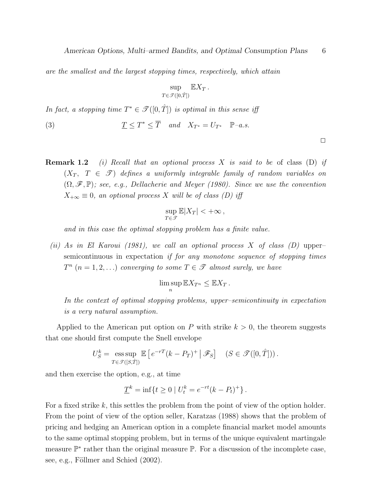are the smallest and the largest stopping times, respectively, which attain

$$
\sup_{T \in \mathcal{T}([0,\hat{T}])} \mathbb{E} X_T.
$$

In fact, a stopping time  $T^* \in \mathscr{T}([0, \hat{T}])$  is optimal in this sense if

(3) 
$$
\underline{T} \leq T^* \leq \overline{T} \quad and \quad X_{T^*} = U_{T^*} \quad \mathbb{P}-a.s.
$$

**Remark 1.2** (i) Recall that an optional process X is said to be of class (D) if  $(X_T, T \in \mathcal{T})$  defines a uniformly integrable family of random variables on  $(\Omega, \mathscr{F}, \mathbb{P})$ ; see, e.g., Dellacherie and Meyer (1980). Since we use the convention  $X_{+\infty} \equiv 0$ , an optional process X will be of class (D) iff

$$
\sup_{T\in\mathcal{T}}\mathbb{E}|X_T|<+\infty\,,
$$

<span id="page-6-0"></span> $\Box$ 

and in this case the optimal stopping problem has a finite value.

(ii) As in El Karoui (1981), we call an optional process X of class  $(D)$  uppersemicontinuous in expectation if for any monotone sequence of stopping times  $T^n$   $(n = 1, 2, ...)$  converging to some  $T \in \mathscr{T}$  almost surely, we have

$$
\limsup_n \mathbb{E} X_{T^n} \leq \mathbb{E} X_T.
$$

In the context of optimal stopping problems, upper–semicontinuity in expectation is a very natural assumption.

Applied to the American put option on P with strike  $k > 0$ , the theorem suggests that one should first compute the Snell envelope

$$
U_S^k = \operatorname*{ess\,sup}_{T \in \mathcal{T}([S,\hat{T}])} \mathbb{E}\left[e^{-rT}(k - P_T)^+ \, \middle| \, \mathcal{F}_S\right] \quad (S \in \mathcal{T}([0,\hat{T}]))\,.
$$

and then exercise the option, e.g., at time

$$
\underline{T}^k = \inf\{t \ge 0 \mid U_t^k = e^{-rt}(k - P_t)^+\}.
$$

For a fixed strike  $k$ , this settles the problem from the point of view of the option holder. From the point of view of the option seller, Karatzas (1988) shows that the problem of pricing and hedging an American option in a complete financial market model amounts to the same optimal stopping problem, but in terms of the unique equivalent martingale measure  $\mathbb{P}^*$  rather than the original measure  $\mathbb{P}$ . For a discussion of the incomplete case, see, e.g., Föllmer and Schied (2002).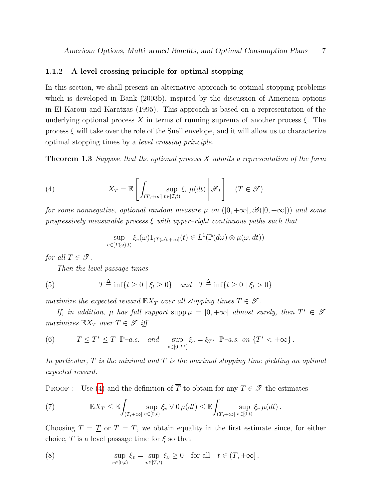#### <span id="page-7-0"></span>1.1.2 A level crossing principle for optimal stopping

In this section, we shall present an alternative approach to optimal stopping problems which is developed in Bank (2003b), inspired by the discussion of American options in El Karoui and Karatzas (1995). This approach is based on a representation of the underlying optional process X in terms of running suprema of another process  $\xi$ . The process  $\xi$  will take over the role of the Snell envelope, and it will allow us to characterize optimal stopping times by a level crossing principle.

<span id="page-7-5"></span><span id="page-7-1"></span>**Theorem 1.3** Suppose that the optional process  $X$  admits a representation of the form

(4) 
$$
X_T = \mathbb{E}\left[\int_{(T,+\infty]} \sup_{v\in[T,t)} \xi_v \,\mu(dt) \middle| \mathscr{F}_T\right] \quad (T \in \mathcal{T})
$$

for some nonnegative, optional random measure  $\mu$  on  $([0, +\infty], \mathscr{B}([0, +\infty]))$  and some progressively measurable process  $\xi$  with upper-right continuous paths such that

<span id="page-7-6"></span><span id="page-7-4"></span>
$$
\sup_{v \in [T(\omega),t)} \xi_v(\omega) 1_{(T(\omega),+\infty]}(t) \in L^1(\mathbb{P}(d\omega) \otimes \mu(\omega,dt))
$$

for all  $T \in \mathcal{T}$ .

Then the level passage times

(5) 
$$
\underline{T} \triangleq \inf\{t \ge 0 \mid \xi_t \ge 0\} \quad and \quad \overline{T} \triangleq \inf\{t \ge 0 \mid \xi_t > 0\}
$$

maximize the expected reward  $\mathbb{E}X_T$  over all stopping times  $T \in \mathcal{T}$ .

If, in addition,  $\mu$  has full support supp  $\mu = [0, +\infty]$  almost surely, then  $T^* \in \mathcal{F}$ maximizes  $\mathbb{E}X_T$  over  $T \in \mathscr{T}$  iff

(6) 
$$
\underline{T} \leq T^* \leq \overline{T} \quad \mathbb{P}-a.s. \quad and \quad \sup_{v \in [0,T^*]} \xi_v = \xi_{T^*} \quad \mathbb{P}-a.s. \text{ on } \{T^* < +\infty\}.
$$

In particular,  $T$  is the minimal and  $\overline{T}$  is the maximal stopping time yielding an optimal expected reward.

PROOF : Use [\(4\)](#page-7-1) and the definition of  $\overline{T}$  to obtain for any  $T \in \mathscr{T}$  the estimates

<span id="page-7-2"></span>(7) 
$$
\mathbb{E} X_T \leq \mathbb{E} \int_{(T, +\infty]} \sup_{v \in [0,t)} \xi_v \vee 0 \mu(dt) \leq \mathbb{E} \int_{(\overline{T}, +\infty]} \sup_{v \in [0,t)} \xi_v \mu(dt).
$$

<span id="page-7-3"></span>Choosing  $T = T$  or  $T = \overline{T}$ , we obtain equality in the first estimate since, for either choice, T is a level passage time for  $\xi$  so that

(8) 
$$
\sup_{v \in [0,t)} \xi_v = \sup_{v \in [T,t)} \xi_v \ge 0 \quad \text{for all} \quad t \in (T, +\infty].
$$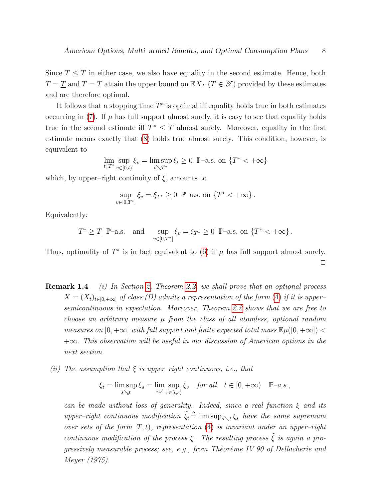Since  $T \leq \overline{T}$  in either case, we also have equality in the second estimate. Hence, both  $T = \underline{T}$  and  $T = \overline{T}$  attain the upper bound on  $\mathbb{E}X_T$   $(T \in \mathcal{T})$  provided by these estimates and are therefore optimal.

It follows that a stopping time  $T^*$  is optimal iff equality holds true in both estimates occurring in  $(7)$ . If  $\mu$  has full support almost surely, it is easy to see that equality holds true in the second estimate iff  $T^* \leq \overline{T}$  almost surely. Moreover, equality in the first estimate means exactly that [\(8\)](#page-7-3) holds true almost surely. This condition, however, is equivalent to

$$
\lim_{t \downarrow T^*} \sup_{v \in [0,t)} \xi_v = \limsup_{t \searrow T^*} \xi_t \ge 0 \quad \mathbb{P}\text{-a.s. on } \{T^* < +\infty\}
$$

which, by upper–right continuity of  $\xi$ , amounts to

$$
\sup_{v \in [0,T^*]} \xi_v = \xi_{T^*} \ge 0 \quad \mathbb{P}\text{-a.s. on } \{T^* < +\infty\} \, .
$$

Equivalently:

$$
T^* \geq \underline{T}
$$
 P-a.s. and  $\sup_{v \in [0,T^*]} \xi_v = \xi_{T^*} \geq 0$  P-a.s. on  $\{T^* < +\infty\}$ .

Thus, optimality of  $T^*$  is in fact equivalent to [\(6\)](#page-7-4) if  $\mu$  has full support almost surely.  $\Box$ 

- **Remark 1.4** (i) In Section [2,](#page-27-0) Theorem [2.2,](#page-27-2) we shall prove that an optional process  $X = (X_t)_{t \in [0, +\infty]}$  of class (D) admits a representation of the form [\(4\)](#page-7-1) if it is uppersemicontinuous in expectation. Moreover, Theorem [2.2](#page-27-2) shows that we are free to choose an arbitrary measure  $\mu$  from the class of all atomless, optional random measures on  $[0, +\infty]$  with full support and finite expected total mass  $\mathbb{E}\mu([0, +\infty])$  $+\infty$ . This observation will be useful in our discussion of American options in the next section.
	- (ii) The assumption that  $\xi$  is upper-right continuous, i.e., that

$$
\xi_t = \limsup_{s \searrow t} \xi_s = \lim_{s \downarrow t} \sup_{v \in [t,s)} \xi_v \quad \text{for all} \quad t \in [0, +\infty) \quad \mathbb{P}-a.s.,
$$

can be made without loss of generality. Indeed, since a real function  $\xi$  and its upper–right continuous modification  $\tilde{\xi}_t \triangleq \limsup_{s \searrow t} \xi_s$  have the same supremum over sets of the form  $[T, t)$ , representation [\(4\)](#page-7-1) is invariant under an upper-right continuous modification of the process  $\xi$ . The resulting process  $\tilde{\xi}$  is again a progressively measurable process; see, e.g., from Théorème IV.90 of Dellacherie and Meyer (1975).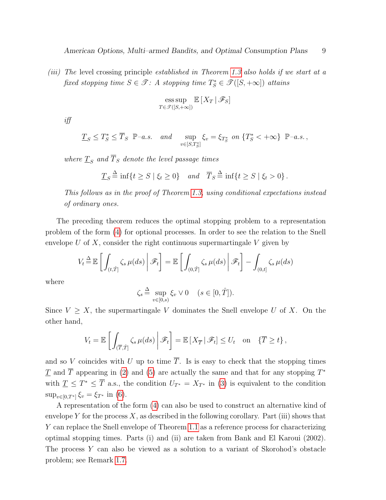(iii) The level crossing principle established in Theorem [1.3](#page-7-5) also holds if we start at a fixed stopping time  $S \in \mathcal{T}$ : A stopping time  $T_S^* \in \mathcal{T}([S, +\infty])$  attains

$$
\operatorname{ess\,sup}_{T\in\mathcal{T}([S,+\infty])}\mathbb{E}\left[X_T\,|\,\mathscr{F}_S\right]
$$

iff

$$
\underline{T}_S \leq T_S^* \leq \overline{T}_S \quad \mathbb{P}-a.s. \quad and \quad \sup_{v \in [S,T_S^*]} \xi_v = \xi_{T_S^*} \quad on \ \{T_S^* < +\infty\} \quad \mathbb{P}-a.s.
$$

where  $T_S$  and  $\overline{T}_S$  denote the level passage times

$$
\underline{T}_S \stackrel{\Delta}{=} \inf \{ t \ge S \mid \xi_t \ge 0 \} \quad and \quad \overline{T}_S \stackrel{\Delta}{=} \inf \{ t \ge S \mid \xi_t > 0 \}.
$$

This follows as in the proof of Theorem [1.3,](#page-7-5) using conditional expectations instead of ordinary ones.

The preceding theorem reduces the optimal stopping problem to a representation problem of the form [\(4\)](#page-7-1) for optional processes. In order to see the relation to the Snell envelope  $U$  of  $X$ , consider the right continuous supermartingale  $V$  given by

$$
V_t \stackrel{\Delta}{=} \mathbb{E}\left[\int_{(t,\hat{T}]} \zeta_s \,\mu(ds) \middle| \mathscr{F}_t\right] = \mathbb{E}\left[\int_{(0,\hat{T}]} \zeta_s \,\mu(ds) \middle| \mathscr{F}_t\right] - \int_{(0,t]} \zeta_s \,\mu(ds)
$$

where

$$
\zeta_s \stackrel{\Delta}{=} \sup_{v \in [0,s)} \xi_v \vee 0 \quad (s \in [0,\hat{T}]).
$$

Since  $V \geq X$ , the supermartingale V dominates the Snell envelope U of X. On the other hand,

$$
V_t = \mathbb{E}\left[\int_{(\overline{T}, \hat{T}]} \zeta_s \,\mu(ds) \middle| \mathscr{F}_t\right] = \mathbb{E}\left[X_{\overline{T}} \middle| \mathscr{F}_t\right] \le U_t \quad \text{on} \quad \{\overline{T} \ge t\},
$$

and so V coincides with U up to time  $\overline{T}$ . Is is easy to check that the stopping times T and  $\overline{T}$  appearing in [\(2\)](#page-5-2) and [\(5\)](#page-7-6) are actually the same and that for any stopping  $T^*$ with  $\underline{T} \leq T^* \leq \overline{T}$  a.s., the condition  $U_{T^*} = X_{T^*}$  in [\(3\)](#page-6-0) is equivalent to the condition  $\sup_{v \in [0,T^*]} \xi_v = \xi_{T^*}$  in [\(6\)](#page-7-4).

<span id="page-9-0"></span>A representation of the form [\(4\)](#page-7-1) can also be used to construct an alternative kind of envelope Y for the process  $X$ , as described in the following corollary. Part (iii) shows that Y can replace the Snell envelope of Theorem [1.1](#page-5-3) as a reference process for characterizing optimal stopping times. Parts (i) and (ii) are taken from Bank and El Karoui (2002). The process Y can also be viewed as a solution to a variant of Skorohod's obstacle problem; see Remark [1.7.](#page-13-0)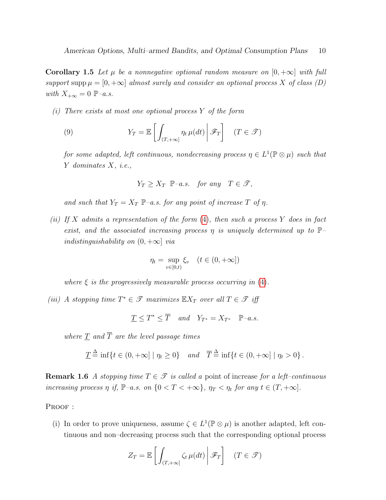**Corollary 1.5** Let  $\mu$  be a nonnegative optional random measure on  $[0, +\infty]$  with full support supp  $\mu = [0, +\infty]$  almost surely and consider an optional process X of class (D) with  $X_{+\infty} = 0$  P-a.s.

 $(i)$  There exists at most one optional process Y of the form

(9) 
$$
Y_T = \mathbb{E}\left[\int_{(T,+\infty]} \eta_t \,\mu(dt) \,\middle|\, \mathscr{F}_T\right] \quad (T \in \mathscr{T})
$$

for some adapted, left continuous, nondecreasing process  $\eta \in L^1(\mathbb{P} \otimes \mu)$  such that Y dominates X, i.e.,

<span id="page-10-0"></span>
$$
Y_T \ge X_T \quad \mathbb{P}-a.s. \quad \text{for any} \quad T \in \mathcal{F},
$$

and such that  $Y_T = X_T \ \mathbb{P}-a.s.$  for any point of increase T of  $\eta$ .

(ii) If  $X$  admits a representation of the form  $(4)$ , then such a process  $Y$  does in fact exist, and the associated increasing process  $\eta$  is uniquely determined up to  $\mathbb{P}$ indistinguishability on  $(0, +\infty]$  via

$$
\eta_t = \sup_{v \in [0,t)} \xi_v \quad (t \in (0,+\infty])
$$

where  $\xi$  is the progressively measurable process occurring in [\(4\)](#page-7-1).

(iii) A stopping time  $T^* \in \mathcal{T}$  maximizes  $\mathbb{E}X_T$  over all  $T \in \mathcal{T}$  iff

$$
\underline{T} \leq T^* \leq \overline{T} \quad and \quad Y_{T^*} = X_{T^*} \quad \mathbb{P}-a.s.
$$

where  $\underline{T}$  and  $\overline{T}$  are the level passage times

$$
\underline{T} \triangleq \inf \{ t \in (0, +\infty] \mid \eta_t \ge 0 \} \quad and \quad \overline{T} \triangleq \inf \{ t \in (0, +\infty] \mid \eta_t > 0 \}.
$$

**Remark 1.6** A stopping time  $T \in \mathcal{T}$  is called a point of increase for a left–continuous increasing process  $\eta$  if,  $\mathbb{P}-a.s.$  on  $\{0 < T < +\infty\}$ ,  $\eta_T < \eta_t$  for any  $t \in (T, +\infty]$ .

PROOF:

(i) In order to prove uniqueness, assume  $\zeta \in L^1(\mathbb{P} \otimes \mu)$  is another adapted, left continuous and non–decreasing process such that the corresponding optional process

$$
Z_T = \mathbb{E}\left[\int_{(T,+\infty]} \zeta_t \,\mu(dt) \,\bigg|\,\mathscr{F}_T\right] \quad (T \in \mathcal{T})
$$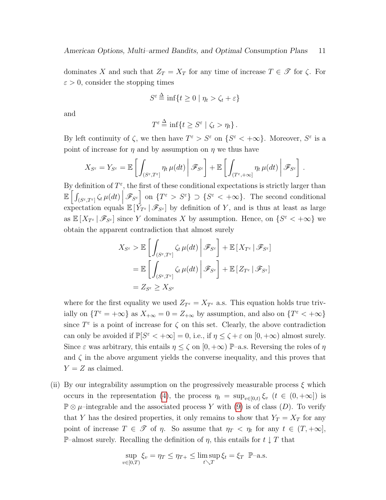dominates X and such that  $Z_T = X_T$  for any time of increase  $T \in \mathcal{T}$  for  $\zeta$ . For  $\varepsilon > 0$ , consider the stopping times

$$
S^{\varepsilon} \stackrel{\Delta}{=} \inf \{ t \ge 0 \mid \eta_t > \zeta_t + \varepsilon \}
$$

and

$$
T^{\varepsilon} \stackrel{\Delta}{=} \inf \{ t \ge S^{\varepsilon} \mid \zeta_t > \eta_t \} .
$$

By left continuity of  $\zeta$ , we then have  $T^{\varepsilon} > S^{\varepsilon}$  on  $\{S^{\varepsilon} < +\infty\}$ . Moreover,  $S^{\varepsilon}$  is a point of increase for  $\eta$  and by assumption on  $\eta$  we thus have

$$
X_{S^{\varepsilon}} = Y_{S^{\varepsilon}} = \mathbb{E}\left[\left.\int_{(S^{\varepsilon},T^{\varepsilon}]} \eta_t \,\mu(dt)\right| \mathscr{F}_{S^{\varepsilon}}\right] + \mathbb{E}\left[\left.\int_{(T^{\varepsilon},+\infty]} \eta_t \,\mu(dt)\right| \mathscr{F}_{S^{\varepsilon}}\right].
$$

By definition of  $T^{\varepsilon}$ , the first of these conditional expectations is strictly larger than  $\mathbb{E}\left[\int_{(S^{\varepsilon},T^{\varepsilon}]} \zeta_t\,\mu(dt)\right]$  $\mathscr{F}_{S^{\varepsilon}}$  on  $\{T^{\varepsilon} > S^{\varepsilon}\}\supset \{S^{\varepsilon} < +\infty\}.$  The second conditional expectation equals  $\mathbb{E}[\tilde{Y}_{T^{\varepsilon}} | \mathscr{F}_{S^{\varepsilon}}]$  by definition of Y, and is thus at least as large as  $\mathbb{E}[X_{T^{\varepsilon}}|\mathscr{F}_{S^{\varepsilon}}]$  since Y dominates X by assumption. Hence, on  $\{S^{\varepsilon} < +\infty\}$  we obtain the apparent contradiction that almost surely

$$
X_{S^{\varepsilon}} > \mathbb{E}\left[\int_{(S^{\varepsilon},T^{\varepsilon}]} \zeta_t \,\mu(dt) \,\bigg|\,\mathscr{F}_{S^{\varepsilon}}\right] + \mathbb{E}\left[X_{T^{\varepsilon}} \,|\,\mathscr{F}_{S^{\varepsilon}}\right]
$$

$$
= \mathbb{E}\left[\int_{(S^{\varepsilon},T^{\varepsilon}]} \zeta_t \,\mu(dt) \,\bigg|\,\mathscr{F}_{S^{\varepsilon}}\right] + \mathbb{E}\left[Z_{T^{\varepsilon}} \,|\,\mathscr{F}_{S^{\varepsilon}}\right]
$$

$$
= Z_{S^{\varepsilon}} \ge X_{S^{\varepsilon}}
$$

where for the first equality we used  $Z_{T^{\epsilon}} = X_{T^{\epsilon}}$  a.s. This equation holds true trivially on  $\{T^{\varepsilon} = +\infty\}$  as  $X_{+\infty} = 0 = Z_{+\infty}$  by assumption, and also on  $\{T^{\varepsilon} < +\infty\}$ since  $T^{\varepsilon}$  is a point of increase for  $\zeta$  on this set. Clearly, the above contradiction can only be avoided if  $\mathbb{P}[S^{\varepsilon} < +\infty] = 0$ , i.e., if  $\eta \le \zeta + \varepsilon$  on  $[0, +\infty)$  almost surely. Since  $\varepsilon$  was arbitrary, this entails  $\eta \leq \zeta$  on  $[0, +\infty)$  P–a.s. Reversing the roles of  $\eta$ and  $\zeta$  in the above argument yields the converse inequality, and this proves that  $Y = Z$  as claimed.

(ii) By our integrability assumption on the progressively measurable process  $\xi$  which occurs in the representation [\(4\)](#page-7-1), the process  $\eta_t = \sup_{v \in [0,t]} \xi_v$   $(t \in (0,+\infty])$  is  $\mathbb{P} \otimes \mu$ –integrable and the associated process Y with [\(9\)](#page-10-0) is of class (D). To verify that Y has the desired properties, it only remains to show that  $Y_T = X_T$  for any point of increase  $T \in \mathcal{T}$  of  $\eta$ . So assume that  $\eta_T < \eta_t$  for any  $t \in (T, +\infty]$ , P–almost surely. Recalling the definition of  $\eta$ , this entails for  $t \downarrow T$  that

$$
\sup_{v \in [0,T)} \xi_v = \eta_T \le \eta_{T+} \le \limsup_{t \searrow T} \xi_t = \xi_T \quad \mathbb{P}\text{-a.s.}
$$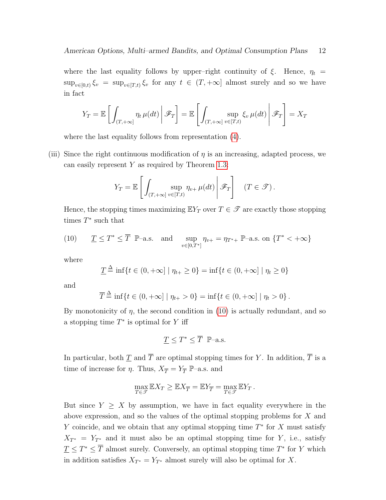where the last equality follows by upper–right continuity of  $\xi$ . Hence,  $\eta_t$  $\sup_{v\in[0,t)}\xi_v = \sup_{v\in[T,t)}\xi_v$  for any  $t \in (T,+\infty]$  almost surely and so we have in fact

$$
Y_T = \mathbb{E}\left[\int_{(T,+\infty]} \eta_t \,\mu(dt) \,\bigg|\,\mathscr{F}_T\right] = \mathbb{E}\left[\int_{(T,+\infty]} \sup_{v \in [T,t)} \xi_v \,\mu(dt) \,\bigg|\,\mathscr{F}_T\right] = X_T
$$

where the last equality follows from representation [\(4\)](#page-7-1).

(iii) Since the right continuous modification of  $\eta$  is an increasing, adapted process, we can easily represent  $Y$  as required by Theorem [1.3:](#page-7-5)

<span id="page-12-0"></span>
$$
Y_T = \mathbb{E}\left[\left.\int_{(T,+\infty]} \sup_{v\in[T,t)} \eta_{v+} \mu(dt) \, \middle| \, \mathscr{F}_T\right] \quad (T \in \mathscr{T}).\right.
$$

Hence, the stopping times maximizing  $\mathbb{E}Y_T$  over  $T \in \mathcal{T}$  are exactly those stopping times  $T^*$  such that

(10) 
$$
\underline{T} \leq T^* \leq \overline{T} \quad \mathbb{P}\text{-a.s.} \quad \text{and} \quad \sup_{v \in [0,T^*]} \eta_{v+} = \eta_{T^*+} \quad \mathbb{P}\text{-a.s.} \text{ on } \{T^* < +\infty\}
$$

where

$$
\underline{T} \stackrel{\Delta}{=} \inf\{t \in (0, +\infty] \mid \eta_{t+} \ge 0\} = \inf\{t \in (0, +\infty] \mid \eta_t \ge 0\}
$$

and

$$
\overline{T} \stackrel{\Delta}{=} \inf \{ t \in (0, +\infty] \mid \eta_{t+} > 0 \} = \inf \{ t \in (0, +\infty] \mid \eta_t > 0 \}.
$$

By monotonicity of  $\eta$ , the second condition in [\(10\)](#page-12-0) is actually redundant, and so a stopping time  $T^*$  is optimal for Y iff

$$
\underline{T}\leq T^*\leq \overline{T}\;\;\mathbb{P}\text{-a.s.}
$$

In particular, both  $\underline{T}$  and  $\overline{T}$  are optimal stopping times for Y. In addition,  $\overline{T}$  is a time of increase for  $\eta$ . Thus,  $X_{\overline{T}} = Y_{\overline{T}} \ \mathbb{P}-\text{a.s.}$  and

$$
\max_{T\in\mathcal{T}}\mathbb{E}X_T\geq \mathbb{E}X_{\overline{T}}=\mathbb{E}Y_{\overline{T}}=\max_{T\in\mathcal{T}}\mathbb{E}Y_T\,.
$$

But since  $Y \geq X$  by assumption, we have in fact equality everywhere in the above expression, and so the values of the optimal stopping problems for X and Y coincide, and we obtain that any optimal stopping time  $T^*$  for X must satisfy  $X_{T^*} = Y_{T^*}$  and it must also be an optimal stopping time for Y, i.e., satisfy  $T \leq T^* \leq \overline{T}$  almost surely. Conversely, an optimal stopping time  $T^*$  for Y which in addition satisfies  $X_{T^*} = Y_{T^*}$  almost surely will also be optimal for X.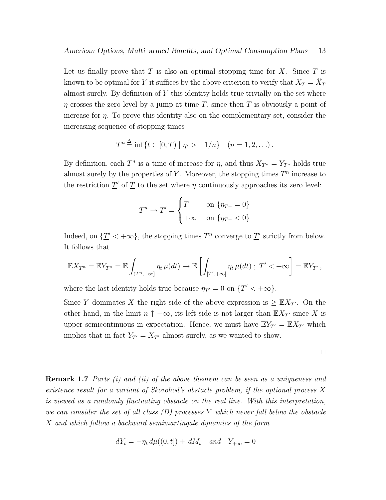Let us finally prove that  $\underline{T}$  is also an optimal stopping time for X. Since  $\underline{T}$  is known to be optimal for Y it suffices by the above criterion to verify that  $X_{\underline{T}} = \breve{X}_{\underline{T}}$ almost surely. By definition of  $Y$  this identity holds true trivially on the set where  $\eta$  crosses the zero level by a jump at time  $\underline{T}$ , since then  $\underline{T}$  is obviously a point of increase for  $\eta$ . To prove this identity also on the complementary set, consider the increasing sequence of stopping times

$$
T^{n} \stackrel{\Delta}{=} \inf \{ t \in [0, \underline{T}) \mid \eta_t > -1/n \} \quad (n = 1, 2, \ldots).
$$

By definition, each  $T^n$  is a time of increase for  $\eta$ , and thus  $X_{T^n} = Y_{T^n}$  holds true almost surely by the properties of Y. Moreover, the stopping times  $T^n$  increase to the restriction  $\underline{T}'$  of  $\underline{T}$  to the set where  $\eta$  continuously approaches its zero level:

$$
T^n \to \underline{T}' = \begin{cases} \underline{T} & \text{on } \{ \eta_{\underline{T}^-} = 0 \} \\ +\infty & \text{on } \{ \eta_{\underline{T}^-} < 0 \} \end{cases}
$$

Indeed, on  $\{\underline{T}' < +\infty\}$ , the stopping times  $T^n$  converge to  $\underline{T}'$  strictly from below. It follows that

$$
\mathbb{E}X_{T^n}=\mathbb{E}Y_{T^n}=\mathbb{E}\int_{(T^n,+\infty]} \eta_t\,\mu(dt)\to\mathbb{E}\left[\int_{[\underline{T}',+\infty]} \eta_t\,\mu(dt)\;;\;\underline{T}'<+\infty\right]=\mathbb{E}Y_{\underline{T}'},
$$

where the last identity holds true because  $\eta_{\underline{T}'} = 0$  on  $\{\underline{T}' < +\infty\}.$ 

Since Y dominates X the right side of the above expression is  $\geq \mathbb{E}X_{T}$ . On the other hand, in the limit  $n \uparrow +\infty$ , its left side is not larger than  $\mathbb{E}X_{T'}$  since X is upper semicontinuous in expectation. Hence, we must have  $\mathbb{E}Y_{T'} = \mathbb{E}X_{T'}$  which implies that in fact  $Y_{\underline{T}'} = X_{\underline{T}'}$  almost surely, as we wanted to show.

| - | ___ |  |
|---|-----|--|

<span id="page-13-0"></span>Remark 1.7 Parts (i) and (ii) of the above theorem can be seen as a uniqueness and existence result for a variant of Skorohod's obstacle problem, if the optional process X is viewed as a randomly fluctuating obstacle on the real line. With this interpretation, we can consider the set of all class  $(D)$  processes Y which never fall below the obstacle X and which follow a backward semimartingale dynamics of the form

$$
dY_t = -\eta_t d\mu((0, t]) + dM_t \quad and \quad Y_{+\infty} = 0
$$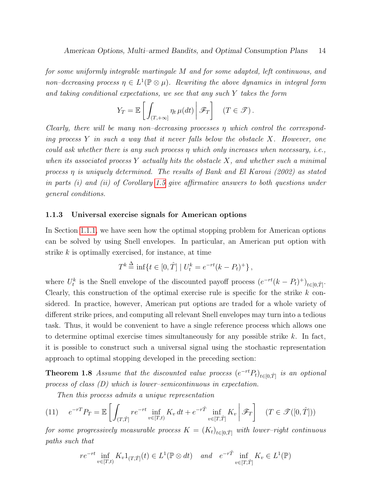for some uniformly integrable martingale M and for some adapted, left continuous, and non–decreasing process  $\eta \in L^1(\mathbb{P} \otimes \mu)$ . Rewriting the above dynamics in integral form and taking conditional expectations, we see that any such Y takes the form

$$
Y_T = \mathbb{E}\left[\int_{(T,+\infty]} \eta_t \,\mu(dt) \,\bigg|\,\mathscr{F}_T\right] \quad (T \in \mathcal{T}).
$$

Clearly, there will be many non–decreasing processes  $\eta$  which control the corresponding process  $Y$  in such a way that it never falls below the obstacle  $X$ . However, one could ask whether there is any such process η which only increases when necessary, i.e., when its associated process Y actually hits the obstacle  $X$ , and whether such a minimal process  $\eta$  is uniquely determined. The results of Bank and El Karoui (2002) as stated in parts (i) and (ii) of Corollary [1.5](#page-9-0) give affirmative answers to both questions under general conditions.

#### <span id="page-14-0"></span>1.1.3 Universal exercise signals for American options

In Section [1.1.1,](#page-5-1) we have seen how the optimal stopping problem for American options can be solved by using Snell envelopes. In particular, an American put option with strike  $k$  is optimally exercised, for instance, at time

$$
T^k \stackrel{\Delta}{=} \inf \{ t \in [0, \hat{T}] \mid U_t^k = e^{-rt} (k - P_t)^+ \},
$$

where  $U_t^k$  is the Snell envelope of the discounted payoff process  $(e^{-rt}(k - P_t)^+)_{t \in [0,\hat{T}]}$ . Clearly, this construction of the optimal exercise rule is specific for the strike  $k$  considered. In practice, however, American put options are traded for a whole variety of different strike prices, and computing all relevant Snell envelopes may turn into a tedious task. Thus, it would be convenient to have a single reference process which allows one to determine optimal exercise times simultaneously for any possible strike  $k$ . In fact, it is possible to construct such a universal signal using the stochastic representation approach to optimal stopping developed in the preceding section:

<span id="page-14-1"></span>**Theorem 1.8** Assume that the discounted value process  $(e^{-rt}P_t)_{t\in[0,\hat{T}]}$  is an optional process of class (D) which is lower–semicontinuous in expectation.

Then this process admits a unique representation

$$
(11) \quad e^{-rT}P_T = \mathbb{E}\left[\int_{(T,\hat{T}]} re^{-rt} \inf_{v \in [T,t)} K_v \, dt + e^{-r\hat{T}} \inf_{v \in [T,\hat{T}]} K_v \, \middle| \, \mathscr{F}_T\right] \quad (T \in \mathcal{F}([0,\hat{T}]))
$$

 $\emph{for some progressively measurable process } K = \left(K_{t}\right)_{t \in [0,\hat{T}]} \emph{ with lower-right continuous}$ paths such that

<span id="page-14-2"></span>
$$
re^{-rt}\inf_{v\in[T,t)} K_v 1_{(T,\hat{T}]}(t) \in L^1(\mathbb{P}\otimes dt) \quad and \quad e^{-r\hat{T}}\inf_{v\in[T,\hat{T}]} K_v \in L^1(\mathbb{P})
$$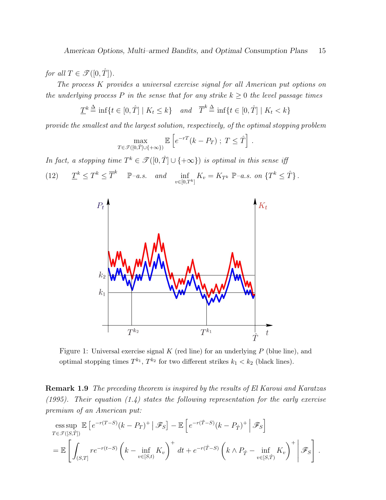for all  $T \in \mathscr{T}([0,\hat{T}]).$ 

The process K provides a universal exercise signal for all American put options on the underlying process P in the sense that for any strike  $k \geq 0$  the level passage times

 $\underline{T}^k \stackrel{\Delta}{=} \inf \{ t \in [0, \hat{T}] \mid K_t \leq k \}$  and  $\overline{T}^k \stackrel{\Delta}{=} \inf \{ t \in [0, \hat{T}] \mid K_t < k \}$ 

provide the smallest and the largest solution, respectively, of the optimal stopping problem

<span id="page-15-1"></span>
$$
\max_{T \in \mathcal{T}([0,\hat{T}]\cup\{+\infty\})} \mathbb{E}\left[e^{-rT}(k-P_T); T \leq \hat{T}\right].
$$

In fact, a stopping time  $T^k \in \mathcal{T}([0, \hat{T}] \cup \{+\infty\})$  is optimal in this sense iff

(12) 
$$
\underline{T}^k \leq T^k \leq \overline{T}^k \quad \mathbb{P}-a.s. \quad and \quad \inf_{v \in [0,T^k]} K_v = K_{T^k} \mathbb{P}-a.s. \text{ on } \{T^k \leq \hat{T}\}.
$$



<span id="page-15-0"></span>Figure 1: Universal exercise signal  $K$  (red line) for an underlying  $P$  (blue line), and optimal stopping times  $T^{k_1}, T^{k_2}$  for two different strikes  $k_1 < k_2$  (black lines).

Remark 1.9 The preceding theorem is inspired by the results of El Karoui and Karatzas (1995). Their equation  $(1.4)$  states the following representation for the early exercise premium of an American put:

ess sup 
$$
\mathbb{E}\left[e^{-r(T-S)}(k-P_T)^+\middle|\mathcal{F}_S\right] - \mathbb{E}\left[e^{-r(\hat{T}-S)}(k-P_{\hat{T}})^+\middle|\mathcal{F}_S\right]
$$
  
\n
$$
= \mathbb{E}\left[\int_{(S,T]} re^{-r(t-S)}\left(k-\inf_{v\in[S,t)} K_v\right)^+ dt + e^{-r(\hat{T}-S)}\left(k\wedge P_{\hat{T}}-\inf_{v\in[S,\hat{T})} K_v\right)^+\middle|\mathcal{F}_S\right].
$$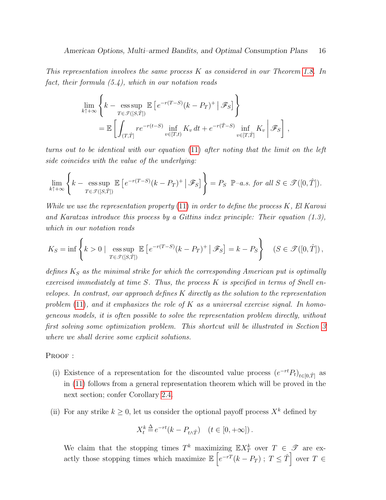This representation involves the same process K as considered in our Theorem [1.8.](#page-14-1) In fact, their formula  $(5.4)$ , which in our notation reads

$$
\lim_{k\uparrow+\infty}\left\{k-\operatorname*{ess\,sup}_{T\in\mathcal{F}([S,\hat{T}])}\mathbb{E}\left[e^{-r(T-S)}(k-P_T)^+\,|\,\mathscr{F}_S\right]\right\}
$$
\n
$$
=\mathbb{E}\left[\int_{(T,\hat{T}]}re^{-r(t-S)}\inf_{v\in[T,t)}K_v\,dt+e^{-r(\hat{T}-S)}\inf_{v\in[T,\hat{T}]}K_v\,|\,\mathscr{F}_S\right],
$$

turns out to be identical with our equation [\(11\)](#page-14-2) after noting that the limit on the left side coincides with the value of the underlying:

$$
\lim_{k\uparrow+\infty}\left\{k-\operatorname*{ess\,sup}_{T\in\mathscr{T}([S,\hat{T}])}\mathbb{E}\left[e^{-r(T-S)}(k-P_T)^+\big|\,\mathscr{F}_S\right]\right\}=P_S\ \mathbb{P}-a.s.\ \text{for all}\ S\in\mathscr{T}([0,\hat{T}]).
$$

While we use the representation property [\(11\)](#page-14-2) in order to define the process K, El Karoui and Karatzas introduce this process by a Gittins index principle: Their equation  $(1.3)$ , which in our notation reads

$$
K_S = \inf \left\{ k > 0 \mid \underset{T \in \mathcal{I}([S, \hat{T}])}{\text{ess sup}} \mathbb{E} \left[ e^{-r(T - S)} (k - P_T)^+ \mid \mathcal{F}_S \right] = k - P_S \right\} \quad (S \in \mathcal{I}([0, \hat{T}]),
$$

defines  $K<sub>S</sub>$  as the minimal strike for which the corresponding American put is optimally exercised immediately at time S. Thus, the process  $K$  is specified in terms of Snell envelopes. In contrast, our approach defines K directly as the solution to the representation problem  $(11)$ , and it emphasizes the role of K as a universal exercise signal. In homogeneous models, it is often possible to solve the representation problem directly, without first solving some optimization problem. This shortcut will be illustrated in Section [3](#page-34-0) where we shall derive some explicit solutions.

PROOF:

- (i) Existence of a representation for the discounted value process  $(e^{-rt}P_t)_{t\in[0,\hat{T}]}$  as in [\(11\)](#page-14-2) follows from a general representation theorem which will be proved in the next section; confer Corollary [2.4.](#page-28-0)
- (ii) For any strike  $k \geq 0$ , let us consider the optional payoff process  $X<sup>k</sup>$  defined by

$$
X_t^k \stackrel{\Delta}{=} e^{-rt}(k - P_{t \wedge \hat{T}}) \quad (t \in [0, +\infty]) \, .
$$

We claim that the stopping times  $T^k$  maximizing  $\mathbb{E} X_T^k$  over  $T \in \mathscr{T}$  are exactly those stopping times which maximize  $\mathbb{E}\left[e^{-rT}(k-P_T); T \leq \hat{T}\right]$  over  $T \in$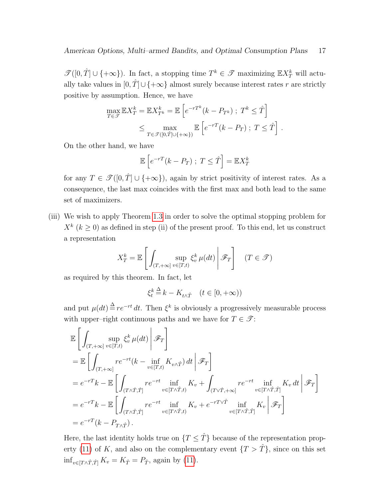$\mathscr{T}([0, \hat{T}] \cup \{+\infty\})$ . In fact, a stopping time  $T^k \in \mathscr{T}$  maximizing  $\mathbb{E}X_T^k$  will actually take values in  $[0, \hat{T}] \cup \{+\infty\}$  almost surely because interest rates r are strictly positive by assumption. Hence, we have

$$
\max_{T \in \mathcal{T}} \mathbb{E} X_T^k = \mathbb{E} X_{T^k}^k = \mathbb{E} \left[ e^{-rT^k} (k - P_{T^k}) \; ; \; T^k \leq \hat{T} \right]
$$

$$
\leq \max_{T \in \mathcal{T}([0, \hat{T}] \cup \{+\infty\})} \mathbb{E} \left[ e^{-rT} (k - P_T) \; ; \; T \leq \hat{T} \right].
$$

On the other hand, we have

$$
\mathbb{E}\left[e^{-rT}(k - P_T) \; ; \; T \leq \hat{T}\right] = \mathbb{E}X_T^k
$$

for any  $T \in \mathscr{T}([0, \hat{T}] \cup \{+\infty\})$ , again by strict positivity of interest rates. As a consequence, the last max coincides with the first max and both lead to the same set of maximizers.

(iii) We wish to apply Theorem [1.3](#page-7-5) in order to solve the optimal stopping problem for  $X^k$  ( $k \geq 0$ ) as defined in step (ii) of the present proof. To this end, let us construct a representation

$$
X_T^k = \mathbb{E}\left[\int_{(T,+\infty]} \sup_{v \in [T,t)} \xi_v^k \,\mu(dt) \,\middle|\, \mathscr{F}_T\right] \quad (T \in \mathcal{T})
$$

as required by this theorem. In fact, let

$$
\xi_t^k \stackrel{\Delta}{=} k - K_{t \wedge \hat{T}} \quad (t \in [0, +\infty))
$$

and put  $\mu(dt) \stackrel{\Delta}{=} re^{-rt} dt$ . Then  $\xi^k$  is obviously a progressively measurable process with upper–right continuous paths and we have for  $T \in \mathcal{T}$ :

$$
\mathbb{E}\left[\int_{(T,+\infty]} \sup_{v\in[T,t)} \xi_v^k \,\mu(dt) \,\bigg|\,\mathcal{F}_T\right]
$$
\n  
\n=  $\mathbb{E}\left[\int_{(T,+\infty]} re^{-rt}(k - \inf_{v\in[T,t)} K_{v\wedge \hat{T}}) dt \,\bigg|\,\mathcal{F}_T\right]$   
\n=  $e^{-rT}k - \mathbb{E}\left[\int_{(T\wedge \hat{T},\hat{T}]} re^{-rt} \inf_{v\in[T\wedge \hat{T},t)} K_v + \int_{(T\vee \hat{T},+\infty]} re^{-rt} \inf_{v\in[T\wedge \hat{T},\hat{T}]} K_v dt \,\bigg|\,\mathcal{F}_T\right]$   
\n=  $e^{-rT}k - \mathbb{E}\left[\int_{(T\wedge \hat{T},\hat{T}]} re^{-rt} \inf_{v\in[T\wedge \hat{T},t)} K_v + e^{-rT\vee \hat{T}} \inf_{v\in[T\wedge \hat{T},\hat{T}]} K_v \,\bigg|\,\mathcal{F}_T\right]$   
\n=  $e^{-rT}(k - P_{T\wedge \hat{T}}).$ 

Here, the last identity holds true on  $\{T \leq \hat{T}\}$  because of the representation prop-erty [\(11\)](#page-14-2) of K, and also on the complementary event  $\{T > T\}$ , since on this set  $\inf_{v\in[T\wedge\hat{T},\hat{T}]} K_v = K_{\hat{T}} = P_{\hat{T}}$ , again by [\(11\)](#page-14-2).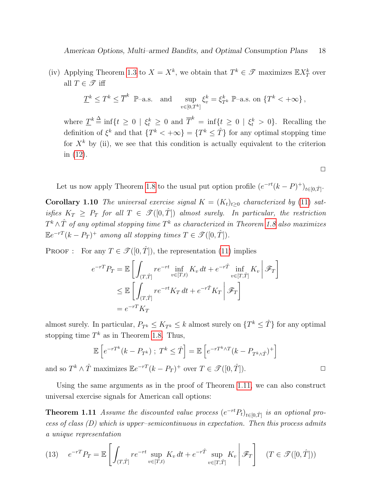(iv) Applying Theorem [1.3](#page-7-5) to  $X = X^k$ , we obtain that  $T^k \in \mathcal{T}$  maximizes  $\mathbb{E} X_T^k$  over all  $T \in \mathscr{T}$  iff

$$
\underline{T}^k \le T^k \le \overline{T}^k \quad \mathbb{P}\text{-a.s.} \quad \text{and} \quad \sup_{v \in [0,T^k]} \xi_v^k = \xi_{T^k}^k \quad \mathbb{P}\text{-a.s. on } \{T^k < +\infty\} \,,
$$

where  $T^k \stackrel{\Delta}{=} \inf\{t \geq 0 \mid \xi_t^k \geq 0 \text{ and } \overline{T}^k = \inf\{t \geq 0 \mid \xi_t^k > 0\}.$  Recalling the definition of  $\xi^k$  and that  $\{T^k < +\infty\} = \{T^k \leq \hat{T}\}\$ for any optimal stopping time for  $X^k$  by (ii), we see that this condition is actually equivalent to the criterion in [\(12\)](#page-15-1).

 $\Box$ 

Let us now apply Theorem [1.8](#page-14-1) to the usual put option profile  $(e^{-rt}(k-P)^+)_{t\in[0,\hat{T}]}$ .

Corollary 1.10 The universal exercise signal  $K = (K_t)_{t \geq 0}$  characterized by [\(11\)](#page-14-2) satisfies  $K_T \geq P_T$  for all  $T \in \mathcal{T}([0, \hat{T}])$  almost surely. In particular, the restriction  $T^k\wedge \hat T$  of any optimal stopping time  $T^k$  as characterized in Theorem [1.8](#page-14-1) also maximizes  $\mathbb{E}e^{-rT}(k-P_T)^+$  among all stopping times  $T \in \mathscr{T}([0,\hat{T}]).$ 

**PROOF** : For any  $T \in \mathcal{T}([0, \hat{T}]),$  the representation [\(11\)](#page-14-2) implies

$$
e^{-rT}P_T = \mathbb{E}\left[\int_{(T,\hat{T}]}re^{-rt}\inf_{v\in[T,t)}K_v dt + e^{-r\hat{T}}\inf_{v\in[T,\hat{T}]}K_v\,\bigg|\,\mathcal{F}_T\right]
$$

$$
\leq \mathbb{E}\left[\int_{(T,\hat{T}]}re^{-rt}K_T dt + e^{-r\hat{T}}K_T\,\bigg|\,\mathcal{F}_T\right]
$$

$$
= e^{-rT}K_T
$$

almost surely. In particular,  $P_{T^k} \le K_{T^k} \le k$  almost surely on  $\{T^k \le \hat{T}\}\$ for any optimal stopping time  $T^k$  as in Theorem [1.8.](#page-14-1) Thus,

$$
\mathbb{E}\left[e^{-rT^k}(k - P_{T^k}) \; ; \; T^k \leq \hat{T}\right] = \mathbb{E}\left[e^{-rT^k \wedge T}(k - P_{T^k \wedge \hat{T}})^+\right]
$$
\ninvariance,  $\mathbb{E}e^{-rT}(k - P_k)$  +  $\text{over } T \in \mathcal{F}([0, \hat{T}])$ 

and so  $T^k \wedge \hat{T}$  maximizes  $\mathbb{E}e^{-rT}(k - P_T)^+$  over  $T \in \mathcal{T}([0, \hat{T}]).$ 

Using the same arguments as in the proof of Theorem [1.11,](#page-18-0) we can also construct universal exercise signals for American call options:

<span id="page-18-1"></span><span id="page-18-0"></span>**Theorem 1.11** Assume the discounted value process  $(e^{-rt}P_t)_{t\in[0,\hat{T}]}$  is an optional process of class (D) which is upper–semicontinuous in expectation. Then this process admits a unique representation

(13) 
$$
e^{-rT}P_T = \mathbb{E}\left[\int_{(T,\hat{T}]} re^{-rt} \sup_{v \in [T,t)} K_v dt + e^{-r\hat{T}} \sup_{v \in [T,\hat{T}]} K_v \middle| \mathscr{F}_T\right] \quad (T \in \mathcal{F}([0,\hat{T}]))
$$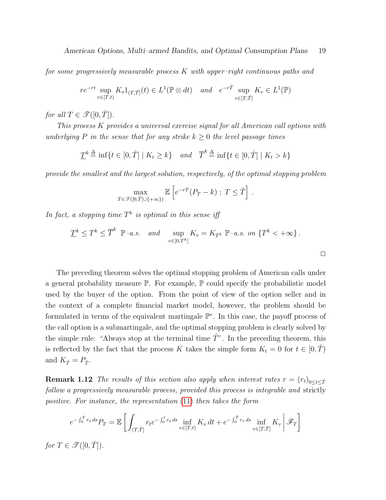for some progressively measurable process  $K$  with upper-right continuous paths and

$$
re^{-rt}
$$
  $\sup_{v \in [T,t)} K_s 1_{(T,\hat{T}]}(t) \in L^1(\mathbb{P} \otimes dt)$  and  $e^{-r\hat{T}} \sup_{v \in [T,\hat{T}]} K_v \in L^1(\mathbb{P})$ 

for all  $T \in \mathscr{T}([0,\hat{T}]).$ 

This process K provides a universal exercise signal for all American call options with underlying P in the sense that for any strike  $k \geq 0$  the level passage times

$$
\underline{T}^k \stackrel{\Delta}{=} \inf \{ t \in [0, \hat{T}] \mid K_t \ge k \} \quad and \quad \overline{T}^k \stackrel{\Delta}{=} \inf \{ t \in [0, \hat{T}] \mid K_t > k \}
$$

provide the smallest and the largest solution, respectively, of the optimal stopping problem

$$
\max_{T \in \mathcal{T}([0,\hat{T}]\cup\{+\infty\})} \mathbb{E}\left[e^{-rT}(P_T - k) ; T \leq \hat{T}\right].
$$

In fact, a stopping time  $T^k$  is optimal in this sense iff

$$
\underline{T}^k \leq T^k \leq \overline{T}^k \quad \mathbb{P}-a.s. \quad and \quad \sup_{v \in [0,T^k]} K_v = K_{T^k} \quad \mathbb{P}-a.s. \text{ on } \{T^k < +\infty\}.
$$

 $\Box$ 

The preceding theorem solves the optimal stopping problem of American calls under a general probability measure  $\mathbb{P}$ . For example,  $\mathbb{P}$  could specify the probabilistic model used by the buyer of the option. From the point of view of the option seller and in the context of a complete financial market model, however, the problem should be formulated in terms of the equivalent martingale  $\mathbb{P}^*$ . In this case, the payoff process of the call option is a submartingale, and the optimal stopping problem is clearly solved by the simple rule: "Always stop at the terminal time  $\hat{T}$ ". In the preceding theorem, this is reflected by the fact that the process K takes the simple form  $K_t = 0$  for  $t \in [0, T)$ and  $K_{\hat{T}} = P_{\hat{T}}$ .

**Remark 1.12** The results of this section also apply when interest rates  $r = (r_t)_{0 \le t \le \hat{T}}$ follow a progressively measurable process, provided this process is integrable and strictly positive. For instance, the representation [\(11\)](#page-14-2) then takes the form

$$
e^{-\int_0^T r_s ds} P_T = \mathbb{E} \left[ \int_{(T,\hat{T}]} r_t e^{-\int_0^t r_s ds} \inf_{v \in [T,t)} K_v dt + e^{-\int_0^{\hat{T}} r_s ds} \inf_{v \in [T,\hat{T}]} K_v \, \middle| \, \mathscr{F}_T \right]
$$

for  $T \in \mathscr{T}([0, \hat{T}]).$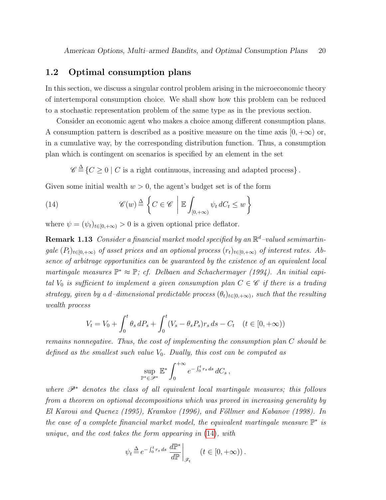### <span id="page-20-0"></span>1.2 Optimal consumption plans

In this section, we discuss a singular control problem arising in the microeconomic theory of intertemporal consumption choice. We shall show how this problem can be reduced to a stochastic representation problem of the same type as in the previous section.

Consider an economic agent who makes a choice among different consumption plans. A consumption pattern is described as a positive measure on the time axis  $[0, +\infty)$  or, in a cumulative way, by the corresponding distribution function. Thus, a consumption plan which is contingent on scenarios is specified by an element in the set

<span id="page-20-1"></span> $\mathscr{C} \stackrel{\Delta}{=} \{C \geq 0 \mid C \text{ is a right continuous, increasing and adapted process}\}.$ 

Given some initial wealth  $w > 0$ , the agent's budget set is of the form

(14) 
$$
\mathscr{C}(w) \stackrel{\Delta}{=} \left\{ C \in \mathscr{C} \middle| \mathbb{E} \int_{[0,+\infty)} \psi_t dC_t \leq w \right\}
$$

where  $\psi = (\psi_t)_{t \in [0, +\infty)} > 0$  is a given optional price deflator.

**Remark 1.13** Consider a financial market model specified by an  $\mathbb{R}^d$ -valued semimartingale  $(P_t)_{t\in[0,+\infty)}$  of asset prices and an optional process  $(r_t)_{t\in[0,+\infty)}$  of interest rates. Absence of arbitrage opportunities can be guaranteed by the existence of an equivalent local martingale measures  $\mathbb{P}^* \approx \mathbb{P}$ ; cf. Delbaen and Schachermayer (1994). An initial capital  $V_0$  is sufficient to implement a given consumption plan  $C \in \mathscr{C}$  if there is a trading strategy, given by a d-dimensional predictable process  $(\theta_t)_{t\in[0,+\infty)}$ , such that the resulting wealth process

$$
V_t = V_0 + \int_0^t \theta_s \, dP_s + \int_0^t (V_s - \theta_s P_s) r_s \, ds - C_t \quad (t \in [0, +\infty))
$$

remains nonnegative. Thus, the cost of implementing the consumption plan C should be defined as the smallest such value  $V_0$ . Dually, this cost can be computed as

$$
\sup_{\mathbb{P}^*\in\mathscr{P}^*}\mathbb{E}^*\int_0^{+\infty}e^{-\int_0^t r_s ds}\,dC_s\,,
$$

where  $\mathscr{P}^*$  denotes the class of all equivalent local martingale measures; this follows from a theorem on optional decompositions which was proved in increasing generality by El Karoui and Quenez (1995), Kramkov (1996), and Föllmer and Kabanov (1998). In the case of a complete financial market model, the equivalent martingale measure  $\mathbb{P}^*$  is unique, and the cost takes the form appearing in [\(14\)](#page-20-1), with

$$
\psi_t \stackrel{\Delta}{=} e^{-\int_0^t r_s ds} \left. \frac{d\mathbb{P}^*}{d\mathbb{P}} \right|_{\mathscr{F}_t} \quad (t \in [0, +\infty)) \,.
$$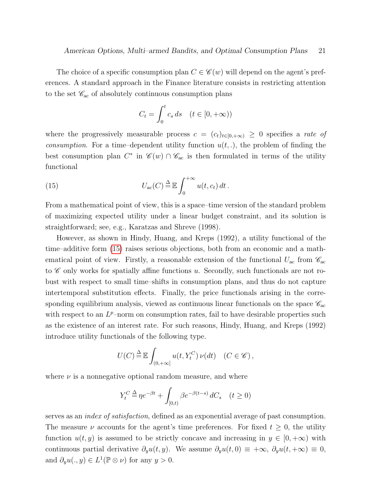The choice of a specific consumption plan  $C \in \mathscr{C}(w)$  will depend on the agent's preferences. A standard approach in the Finance literature consists in restricting attention to the set  $\mathscr{C}_{ac}$  of absolutely continuous consumption plans

$$
C_t = \int_0^t c_s \, ds \quad (t \in [0, +\infty))
$$

where the progressively measurable process  $c = (c_t)_{t \in [0, +\infty)} \geq 0$  specifies a rate of *consumption.* For a time–dependent utility function  $u(t,.)$ , the problem of finding the best consumption plan  $C^*$  in  $\mathscr{C}(w) \cap \mathscr{C}_{ac}$  is then formulated in terms of the utility functional

<span id="page-21-0"></span>(15) 
$$
U_{\rm ac}(C) \stackrel{\Delta}{=} \mathbb{E} \int_0^{+\infty} u(t, c_t) dt.
$$

From a mathematical point of view, this is a space–time version of the standard problem of maximizing expected utility under a linear budget constraint, and its solution is straightforward; see, e.g., Karatzas and Shreve (1998).

However, as shown in Hindy, Huang, and Kreps (1992), a utility functional of the time–additive form [\(15\)](#page-21-0) raises serious objections, both from an economic and a mathematical point of view. Firstly, a reasonable extension of the functional  $U_{ac}$  from  $\mathscr{C}_{ac}$ to  $\mathscr C$  only works for spatially affine functions u. Secondly, such functionals are not robust with respect to small time–shifts in consumption plans, and thus do not capture intertemporal substitution effects. Finally, the price functionals arising in the corresponding equilibrium analysis, viewed as continuous linear functionals on the space  $\mathscr{C}_{\text{ac}}$ with respect to an  $L^p$ -norm on consumption rates, fail to have desirable properties such as the existence of an interest rate. For such reasons, Hindy, Huang, and Kreps (1992) introduce utility functionals of the following type.

$$
U(C) \stackrel{\Delta}{=} \mathbb{E} \int_{(0, +\infty]} u(t, Y_t^C) \nu(dt) \quad (C \in \mathscr{C}),
$$

where  $\nu$  is a nonnegative optional random measure, and where

$$
Y_t^C \stackrel{\Delta}{=} \eta e^{-\beta t} + \int_{[0,t)} \beta e^{-\beta(t-s)} dC_s \quad (t \ge 0)
$$

serves as an index of satisfaction, defined as an exponential average of past consumption. The measure  $\nu$  accounts for the agent's time preferences. For fixed  $t \geq 0$ , the utility function  $u(t, y)$  is assumed to be strictly concave and increasing in  $y \in [0, +\infty)$  with continuous partial derivative  $\partial_y u(t, y)$ . We assume  $\partial_y u(t, 0) \equiv +\infty$ ,  $\partial_y u(t, +\infty) \equiv 0$ , and  $\partial_y u(.,y) \in L^1(\mathbb{P} \otimes \nu)$  for any  $y > 0$ .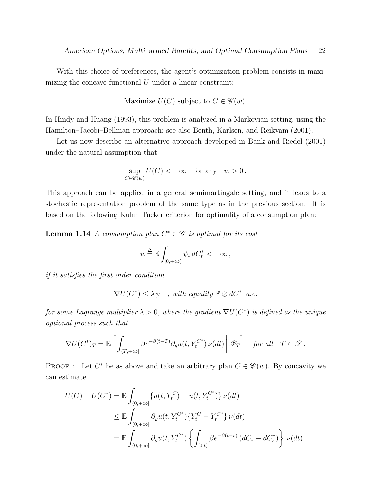With this choice of preferences, the agent's optimization problem consists in maximizing the concave functional  $U$  under a linear constraint:

Maximize  $U(C)$  subject to  $C \in \mathscr{C}(w)$ .

In Hindy and Huang (1993), this problem is analyzed in a Markovian setting, using the Hamilton–Jacobi–Bellman approach; see also Benth, Karlsen, and Reikvam (2001).

Let us now describe an alternative approach developed in Bank and Riedel (2001) under the natural assumption that

$$
\sup_{C \in \mathscr{C}(w)} U(C) < +\infty \quad \text{for any} \quad w > 0.
$$

This approach can be applied in a general semimartingale setting, and it leads to a stochastic representation problem of the same type as in the previous section. It is based on the following Kuhn–Tucker criterion for optimality of a consumption plan:

<span id="page-22-0"></span>**Lemma 1.14** A consumption plan  $C^* \in \mathscr{C}$  is optimal for its cost

$$
w \stackrel{\Delta}{=} \mathbb{E} \int_{[0, +\infty)} \psi_t \, dC_t^* < +\infty \,,
$$

if it satisfies the first order condition

 $\nabla U(C^*) \leq \lambda \psi$ , with equality  $\mathbb{P} \otimes dC^*$ -a.e.

for some Lagrange multiplier  $\lambda > 0$ , where the gradient  $\nabla U(C^*)$  is defined as the unique optional process such that

$$
\nabla U(C^*)_T = \mathbb{E}\left[\left.\int_{(T,+\infty]} \beta e^{-\beta(t-T)} \partial_y u(t,Y_t^{C^*}) \, \nu(dt) \,\bigg|\, \mathscr{F}_T\right] \quad \text{for all} \quad T \in \mathcal{F} \, .
$$

**PROOF** : Let  $C^*$  be as above and take an arbitrary plan  $C \in \mathcal{C}(w)$ . By concavity we can estimate

$$
U(C) - U(C^*) = \mathbb{E} \int_{(0, +\infty]} \{u(t, Y_t^C) - u(t, Y_t^{C^*})\} \nu(dt)
$$
  
\$\leq\$  $\mathbb{E} \int_{(0, +\infty]} \partial_y u(t, Y_t^{C^*}) \{Y_t^C - Y_t^{C^*}\} \nu(dt)$   
\$\leq\$  $\mathbb{E} \int_{(0, +\infty]} \partial_y u(t, Y_t^{C^*}) \{ \int_{[0, t)} \beta e^{-\beta(t-s)} (dC_s - dC_s^*) \} \nu(dt).$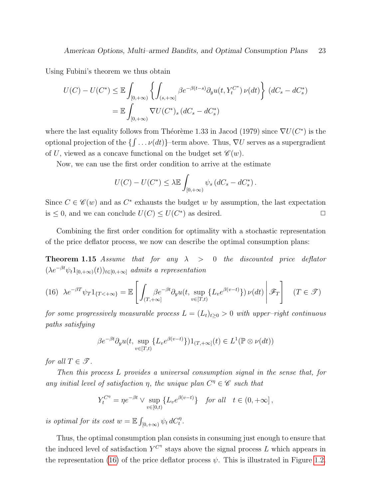Using Fubini's theorem we thus obtain

$$
U(C) - U(C^*) \leq \mathbb{E} \int_{[0,+\infty)} \left\{ \int_{(s,+\infty)} \beta e^{-\beta(t-s)} \partial_y u(t, Y_t^{C^*}) \nu(dt) \right\} (dC_s - dC_s^*)
$$
  
= 
$$
\mathbb{E} \int_{[0,+\infty)} \nabla U(C^*)_s (dC_s - dC_s^*)
$$

where the last equality follows from Théorème 1.33 in Jacod (1979) since  $\nabla U(C^*)$  is the optional projection of the  $\{\int \ldots \nu(dt)\}$ -term above. Thus,  $\nabla U$  serves as a supergradient of U, viewed as a concave functional on the budget set  $\mathscr{C}(w)$ .

Now, we can use the first order condition to arrive at the estimate

<span id="page-23-0"></span>
$$
U(C) - U(C^*) \le \lambda \mathbb{E} \int_{[0,+\infty)} \psi_s \left( dC_s - dC_s^* \right).
$$

Since  $C \in \mathscr{C}(w)$  and as  $C^*$  exhausts the budget w by assumption, the last expectation is  $\leq$  0, and we can conclude  $U(C) \leq U(C^*)$  as desired.

Combining the first order condition for optimality with a stochastic representation of the price deflator process, we now can describe the optimal consumption plans:

<span id="page-23-1"></span>**Theorem 1.15** Assume that for any  $\lambda > 0$  the discounted price deflator  $(\lambda e^{-\beta t}\psi_t 1_{[0,+\infty)}(t))_{t\in[0,+\infty]}$  admits a representation

$$
(16)\ \lambda e^{-\beta T}\psi_T 1_{\{T<+\infty\}} = \mathbb{E}\left[\int_{(T,+\infty]} \beta e^{-\beta t} \partial_y u(t,\sup_{v\in[T,t)} \{L_v e^{\beta(v-t)}\}) \nu(dt)\middle|\mathscr{F}_T\right] \ (T\in\mathcal{F})
$$

for some progressively measurable process  $L = (L_t)_{t\geq 0} > 0$  with upper-right continuous paths satisfying

$$
\beta e^{-\beta t} \partial_y u(t, \sup_{v \in [T,t)} \{L_v e^{\beta(v-t)}\} ) 1_{(T, +\infty]}(t) \in L^1(\mathbb{P} \otimes \nu(dt))
$$

for all  $T \in \mathcal{T}$ .

Then this process L provides a universal consumption signal in the sense that, for any initial level of satisfaction  $\eta$ , the unique plan  $C^{\eta} \in \mathscr{C}$  such that

$$
Y_t^{C^n} = \eta e^{-\beta t} \vee \sup_{v \in [0,t)} \{ L_v e^{\beta(v-t)} \} \quad \text{for all} \quad t \in (0, +\infty],
$$

is optimal for its cost  $w = \mathbb{E} \int_{[0, +\infty)} \psi_t dC_t^{\eta}$ .

Thus, the optimal consumption plan consists in consuming just enough to ensure that the induced level of satisfaction  $Y^{C^{\eta}}$  stays above the signal process L which appears in the representation [\(16\)](#page-23-0) of the price deflator process  $\psi$ . This is illustrated in Figure [1.2.](#page-24-0)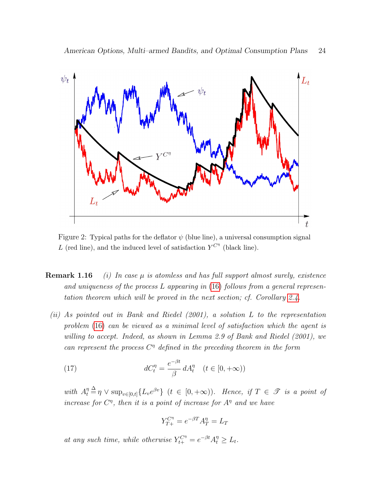

<span id="page-24-0"></span>Figure 2: Typical paths for the deflator  $\psi$  (blue line), a universal consumption signal L (red line), and the induced level of satisfaction  $Y^{C^{\eta}}$  (black line).

- **Remark 1.16** (i) In case  $\mu$  is atomless and has full support almost surely, existence and uniqueness of the process L appearing in  $(16)$  follows from a general representation theorem which will be proved in the next section; cf. Corollary [2.4.](#page-28-0)
	- (ii) As pointed out in Bank and Riedel (2001), a solution L to the representation problem [\(16\)](#page-23-0) can be viewed as a minimal level of satisfaction which the agent is willing to accept. Indeed, as shown in Lemma 2.9 of Bank and Riedel (2001), we can represent the process  $C^{\eta}$  defined in the preceding theorem in the form

(17) 
$$
dC_t^{\eta} = \frac{e^{-\beta t}}{\beta} dA_t^{\eta} \quad (t \in [0, +\infty))
$$

with  $A_t^{\eta}$  $\mathcal{L}^\eta_t \triangleq \eta \vee \sup_{v \in [0,t]} \{ L_v e^{\beta v} \}$   $(t \in [0,+\infty))$ . Hence, if  $T \in \mathscr{T}$  is a point of increase for  $C^{\eta}$ , then it is a point of increase for  $A^{\eta}$  and we have

<span id="page-24-1"></span>
$$
Y_{T+}^{C^{\eta}} = e^{-\beta T} A_T^{\eta} = L_T
$$

at any such time, while otherwise  $Y_{t+}^{C^{\eta}} = e^{-\beta t} A_t^{\eta} \ge L_t$ .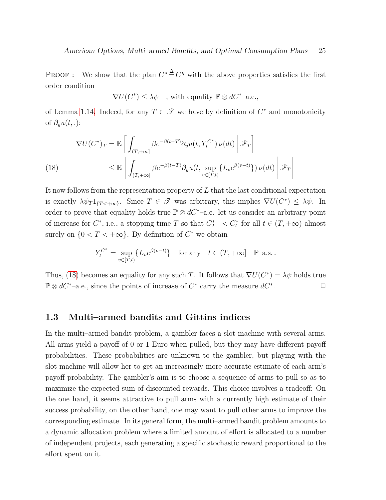**PROOF**: We show that the plan  $C^* \triangleq C^{\eta}$  with the above properties satisfies the first order condition

$$
\nabla U(C^*) \leq \lambda \psi \quad , \text{ with equality } \mathbb{P} \otimes dC^*-\text{a.e.},
$$

of Lemma [1.14.](#page-22-0) Indeed, for any  $T \in \mathcal{T}$  we have by definition of  $C^*$  and monotonicity of  $\partial_u u(t,.)$ :

<span id="page-25-1"></span>(18) 
$$
\nabla U(C^*)_T = \mathbb{E}\left[\int_{(T,+\infty]} \beta e^{-\beta(t-T)} \partial_y u(t, Y_t^{C^*}) \nu(dt) \middle| \mathcal{F}_T\right]
$$

$$
\leq \mathbb{E}\left[\int_{(T,+\infty]} \beta e^{-\beta(t-T)} \partial_y u(t, \sup_{v \in [T,t)} \{L_v e^{\beta(v-t)}\}) \nu(dt) \middle| \mathcal{F}_T\right]
$$

It now follows from the representation property of L that the last conditional expectation is exactly  $\lambda \psi_T 1_{\{T \leq +\infty\}}$ . Since  $T \in \mathscr{T}$  was arbitrary, this implies  $\nabla U(C^*) \leq \lambda \psi$ . In order to prove that equality holds true  $\mathbb{P} \otimes dC^*$ –a.e. let us consider an arbitrary point of increase for  $C^*$ , i.e., a stopping time T so that  $C^*_{T-} < C^*_t$  for all  $t \in (T, +\infty)$  almost surely on  $\{0 < T < +\infty\}$ . By definition of  $C^*$  we obtain

$$
Y_t^{C^*} = \sup_{v \in [T,t)} \{ L_v e^{\beta(v-t)} \} \quad \text{for any} \quad t \in (T, +\infty] \quad \mathbb{P}\text{-a.s.}.
$$

Thus, [\(18\)](#page-25-1) becomes an equality for any such T. It follows that  $\nabla U(C^*) = \lambda \psi$  holds true  $\mathbb{P} \otimes \overline{d}C^*$ -a.e., since the points of increase of  $C^*$  carry the measure  $\overline{d}C^*$ .  $\Box$ 

## <span id="page-25-0"></span>1.3 Multi–armed bandits and Gittins indices

In the multi–armed bandit problem, a gambler faces a slot machine with several arms. All arms yield a payoff of 0 or 1 Euro when pulled, but they may have different payoff probabilities. These probabilities are unknown to the gambler, but playing with the slot machine will allow her to get an increasingly more accurate estimate of each arm's payoff probability. The gambler's aim is to choose a sequence of arms to pull so as to maximize the expected sum of discounted rewards. This choice involves a tradeoff: On the one hand, it seems attractive to pull arms with a currently high estimate of their success probability, on the other hand, one may want to pull other arms to improve the corresponding estimate. In its general form, the multi–armed bandit problem amounts to a dynamic allocation problem where a limited amount of effort is allocated to a number of independent projects, each generating a specific stochastic reward proportional to the effort spent on it.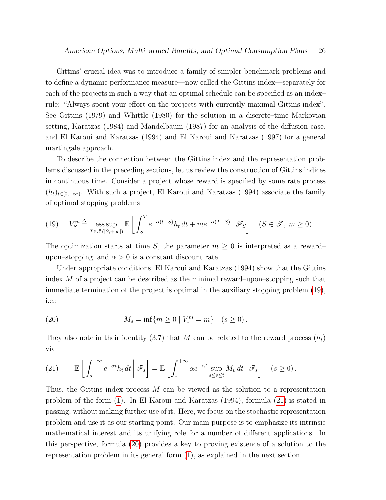Gittins' crucial idea was to introduce a family of simpler benchmark problems and to define a dynamic performance measure—now called the Gittins index—separately for each of the projects in such a way that an optimal schedule can be specified as an index– rule: "Always spent your effort on the projects with currently maximal Gittins index". See Gittins (1979) and Whittle (1980) for the solution in a discrete–time Markovian setting, Karatzas (1984) and Mandelbaum (1987) for an analysis of the diffusion case, and El Karoui and Karatzas (1994) and El Karoui and Karatzas (1997) for a general martingale approach.

To describe the connection between the Gittins index and the representation problems discussed in the preceding sections, let us review the construction of Gittins indices in continuous time. Consider a project whose reward is specified by some rate process  $(h_t)_{t\in[0,+\infty)}$ . With such a project, El Karoui and Karatzas (1994) associate the family of optimal stopping problems

<span id="page-26-0"></span>(19) 
$$
V_S^m \stackrel{\Delta}{=} \operatorname*{ess\,sup}_{T \in \mathcal{T}([S, +\infty])} \mathbb{E}\left[\left.\int_S^T e^{-\alpha(t-S)} h_t dt + m e^{-\alpha(T-S)} \right| \mathcal{F}_S\right] \quad (S \in \mathcal{T}, m \ge 0).
$$

The optimization starts at time S, the parameter  $m \geq 0$  is interpreted as a reward– upon–stopping, and  $\alpha > 0$  is a constant discount rate.

Under appropriate conditions, El Karoui and Karatzas (1994) show that the Gittins index M of a project can be described as the minimal reward–upon–stopping such that immediate termination of the project is optimal in the auxiliary stopping problem [\(19\)](#page-26-0), i.e.:

<span id="page-26-2"></span>(20) 
$$
M_s = \inf \{ m \ge 0 \mid V_s^m = m \} \quad (s \ge 0).
$$

<span id="page-26-1"></span>They also note in their identity (3.7) that M can be related to the reward process  $(h_t)$ via

(21) 
$$
\mathbb{E}\left[\int_{s}^{+\infty} e^{-\alpha t} h_t dt \middle| \mathscr{F}_s\right] = \mathbb{E}\left[\int_{s}^{+\infty} \alpha e^{-\alpha t} \sup_{s \le v \le t} M_v dt \middle| \mathscr{F}_s\right] \quad (s \ge 0).
$$

Thus, the Gittins index process M can be viewed as the solution to a representation problem of the form [\(1\)](#page-1-0). In El Karoui and Karatzas (1994), formula [\(21\)](#page-26-1) is stated in passing, without making further use of it. Here, we focus on the stochastic representation problem and use it as our starting point. Our main purpose is to emphasize its intrinsic mathematical interest and its unifying role for a number of different applications. In this perspective, formula [\(20\)](#page-26-2) provides a key to proving existence of a solution to the representation problem in its general form [\(1\)](#page-1-0), as explained in the next section.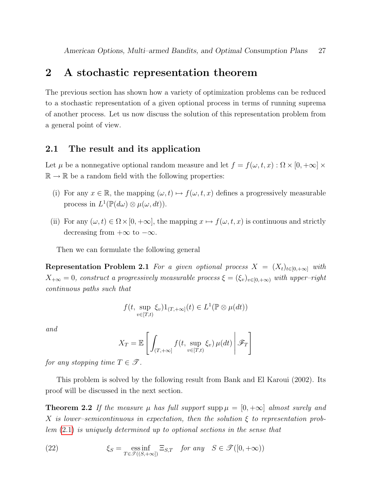# <span id="page-27-0"></span>2 A stochastic representation theorem

The previous section has shown how a variety of optimization problems can be reduced to a stochastic representation of a given optional process in terms of running suprema of another process. Let us now discuss the solution of this representation problem from a general point of view.

#### <span id="page-27-1"></span>2.1 The result and its application

Let  $\mu$  be a nonnegative optional random measure and let  $f = f(\omega, t, x) : \Omega \times [0, +\infty] \times$  $\mathbb{R} \to \mathbb{R}$  be a random field with the following properties:

- (i) For any  $x \in \mathbb{R}$ , the mapping  $(\omega, t) \mapsto f(\omega, t, x)$  defines a progressively measurable process in  $L^1(\mathbb{P}(d\omega)\otimes\mu(\omega,dt)).$
- (ii) For any  $(\omega, t) \in \Omega \times [0, +\infty]$ , the mapping  $x \mapsto f(\omega, t, x)$  is continuous and strictly decreasing from  $+\infty$  to  $-\infty$ .

Then we can formulate the following general

Representation Problem 2.1 For a given optional process  $X = (X_t)_{t \in [0, +\infty]}$  with  $X_{+\infty} = 0$ , construct a progressively measurable process  $\xi = (\xi_v)_{v \in [0, +\infty)}$  with upper-right continuous paths such that

<span id="page-27-3"></span>
$$
f(t, \sup_{v \in [T,t)} \xi_v) 1_{(T, +\infty]}(t) \in L^1(\mathbb{P} \otimes \mu(dt))
$$

and

<span id="page-27-4"></span><span id="page-27-2"></span>
$$
X_T = \mathbb{E}\left[\int_{(T,+\infty]} f(t, \sup_{v \in [T,t)} \xi_v) \,\mu(dt) \,\middle|\, \mathscr{F}_T\right]
$$

for any stopping time  $T \in \mathcal{T}$ .

This problem is solved by the following result from Bank and El Karoui (2002). Its proof will be discussed in the next section.

**Theorem 2.2** If the measure  $\mu$  has full support supp  $\mu = [0, +\infty]$  almost surely and X is lower–semicontinuous in expectation, then the solution  $\xi$  to representation problem [\(2.1\)](#page-27-3) is uniquely determined up to optional sections in the sense that

(22) 
$$
\xi_S = \underset{T \in \mathcal{I}((S, +\infty))}{\text{ess inf}} \Xi_{S,T} \quad \text{for any} \quad S \in \mathcal{I}([0, +\infty))
$$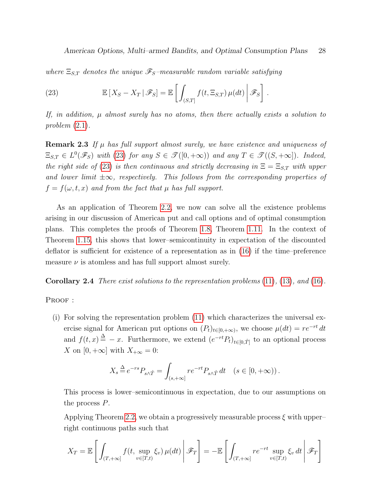<span id="page-28-1"></span>where  $\Xi_{S,T}$  denotes the unique  $\mathscr{F}_{S}$ -measurable random variable satisfying

(23) 
$$
\mathbb{E}\left[X_S - X_T | \mathscr{F}_S\right] = \mathbb{E}\left[\int_{(S,T]} f(t,\Xi_{S,T}) \,\mu(dt) \,\middle|\, \mathscr{F}_S\right].
$$

If, in addition,  $\mu$  almost surely has no atoms, then there actually exists a solution to problem [\(2.1\)](#page-27-3).

**Remark 2.3** If  $\mu$  has full support almost surely, we have existence and uniqueness of  $\Xi_{S,T} \in L^0(\mathscr{F}_S)$  with [\(23\)](#page-28-1) for any  $S \in \mathscr{T}([0,+\infty))$  and any  $T \in \mathscr{T}((S,+\infty])$ . Indeed, the right side of [\(23\)](#page-28-1) is then continuous and strictly decreasing in  $\Xi = \Xi_{S,T}$  with upper and lower limit  $\pm \infty$ , respectively. This follows from the corresponding properties of  $f = f(\omega, t, x)$  and from the fact that  $\mu$  has full support.

As an application of Theorem [2.2,](#page-27-2) we now can solve all the existence problems arising in our discussion of American put and call options and of optimal consumption plans. This completes the proofs of Theorem [1.8,](#page-14-1) Theorem [1.11.](#page-18-0) In the context of Theorem [1.15,](#page-23-1) this shows that lower–semicontinuity in expectation of the discounted deflator is sufficient for existence of a representation as in [\(16\)](#page-23-0) if the time–preference measure  $\nu$  is atomless and has full support almost surely.

<span id="page-28-0"></span>**Corollary 2.4** There exist solutions to the representation problems  $(11)$ ,  $(13)$ , and  $(16)$ .

PROOF:

(i) For solving the representation problem [\(11\)](#page-14-2) which characterizes the universal exercise signal for American put options on  $(P_t)_{t\in[0,+\infty)}$ , we choose  $\mu(dt) = re^{-rt}dt$ and  $f(t,x) \triangleq -x$ . Furthermore, we extend  $(e^{-rt}P_t)_{t \in [0,\hat{T}]}$  to an optional process X on  $[0, +\infty]$  with  $X_{+\infty} = 0$ :

$$
X_s \stackrel{\Delta}{=} e^{-rs} P_{s \wedge \hat{T}} = \int_{(s, +\infty]} r e^{-rt} P_{s \wedge \hat{T}} dt \quad (s \in [0, +\infty)).
$$

This process is lower–semicontinuous in expectation, due to our assumptions on the process P.

Applying Theorem [2.2,](#page-27-2) we obtain a progressively measurable process  $\xi$  with upper– right continuous paths such that

$$
X_T = \mathbb{E}\left[\left.\int_{(T,+\infty]} f(t,\sup_{v\in[T,t)}\xi_v)\,\mu(dt)\right|\mathscr{F}_T\right] = -\mathbb{E}\left[\left.\int_{(T,+\infty]} r e^{-rt}\sup_{v\in[T,t)} \xi_v\,dt\,\right|\mathscr{F}_T\right]
$$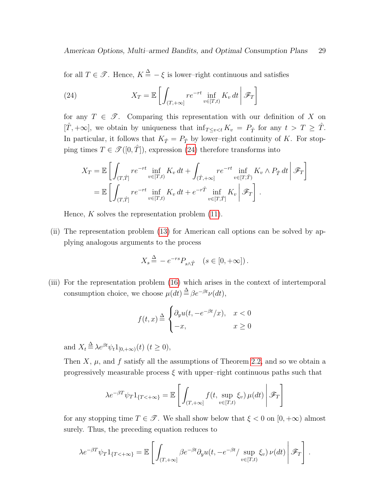for all  $T \in \mathscr{T}$ . Hence,  $K \stackrel{\Delta}{=} -\xi$  is lower-right continuous and satisfies

<span id="page-29-0"></span>(24) 
$$
X_T = \mathbb{E}\left[\int_{(T,+\infty]} r e^{-rt} \inf_{v \in [T,t)} K_v dt \, \middle| \, \mathscr{F}_T\right]
$$

for any  $T \in \mathscr{T}$ . Comparing this representation with our definition of X on  $[\hat{T}, +\infty]$ , we obtain by uniqueness that  $\inf_{T\leq v\leq t} K_v = P_{\hat{T}}$  for any  $t > T \geq \hat{T}$ . In particular, it follows that  $K_{\hat{T}} = P_{\hat{T}}$  by lower–right continuity of K. For stopping times  $T \in \mathcal{T}([0, T])$ , expression [\(24\)](#page-29-0) therefore transforms into

$$
X_T = \mathbb{E}\left[\int_{(T,\hat{T}]} re^{-rt} \inf_{v \in [T,t)} K_v dt + \int_{(\hat{T},+\infty]} re^{-rt} \inf_{v \in [T,\hat{T})} K_v \wedge P_{\hat{T}} dt \middle| \mathscr{F}_T\right]
$$
  
= 
$$
\mathbb{E}\left[\int_{(T,\hat{T}]} re^{-rt} \inf_{v \in [T,t)} K_v dt + e^{-r\hat{T}} \inf_{v \in [T,\hat{T}]} K_v \middle| \mathscr{F}_T\right].
$$

Hence,  $K$  solves the representation problem  $(11)$ .

(ii) The representation problem [\(13\)](#page-18-1) for American call options can be solved by applying analogous arguments to the process

$$
X_s \stackrel{\Delta}{=} -e^{-rs} P_{s \wedge \hat{T}} \quad (s \in [0, +\infty]) \, .
$$

(iii) For the representation problem [\(16\)](#page-23-0) which arises in the context of intertemporal consumption choice, we choose  $\mu(dt) \stackrel{\Delta}{=} \beta e^{-\beta t} \nu(dt)$ ,

$$
f(t,x) \stackrel{\Delta}{=} \begin{cases} \partial_y u(t, -e^{-\beta t}/x), & x < 0\\ -x, & x \ge 0 \end{cases}
$$

and  $X_t \stackrel{\Delta}{=} \lambda e^{\beta t} \psi_t 1_{[0, +\infty)}(t)$   $(t \ge 0)$ ,

Then X,  $\mu$ , and f satisfy all the assumptions of Theorem [2.2,](#page-27-2) and so we obtain a progressively measurable process  $\xi$  with upper–right continuous paths such that

$$
\lambda e^{-\beta T} \psi_T 1_{\{T<+\infty\}} = \mathbb{E}\left[\int_{(T,+\infty]} f(t, \sup_{v \in [T,t)} \xi_v) \mu(dt) \middle| \mathcal{F}_T\right]
$$

for any stopping time  $T \in \mathscr{T}$ . We shall show below that  $\xi < 0$  on  $[0, +\infty)$  almost surely. Thus, the preceding equation reduces to

$$
\lambda e^{-\beta T}\psi_T 1_{\{T<+\infty\}} = \mathbb{E}\left[\int_{(T,+\infty]} \beta e^{-\beta t} \partial_y u(t, -e^{-\beta t}/\sup_{v\in[T,t)} \xi_v) \nu(dt)\middle|\mathscr{F}_T\right].
$$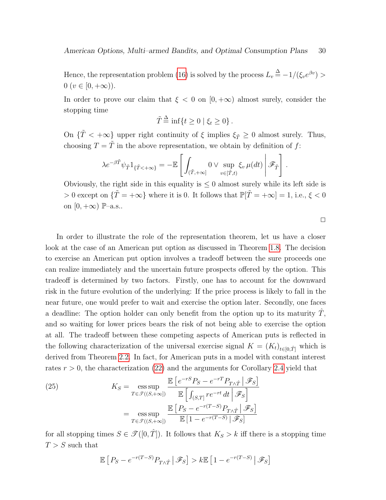Hence, the representation problem [\(16\)](#page-23-0) is solved by the process  $L_v \stackrel{\Delta}{=} -1/(\xi_v e^{\beta v}) >$ 0  $(v \in [0, +\infty))$ .

In order to prove our claim that  $\xi < 0$  on  $[0, +\infty)$  almost surely, consider the stopping time

$$
\tilde{T} \stackrel{\Delta}{=} \inf\{t \ge 0 \mid \xi_t \ge 0\}.
$$

On  $\{\tilde{T} < +\infty\}$  upper right continuity of  $\xi$  implies  $\xi_{\tilde{T}} \geq 0$  almost surely. Thus, choosing  $T = \tilde{T}$  in the above representation, we obtain by definition of f:

$$
\lambda e^{-\beta \tilde{T}} \psi_{\tilde{T}} 1_{\{\tilde{T} < +\infty\}} = -\mathbb{E}\left[\int_{(\tilde{T}, +\infty]} 0 \vee \sup_{v \in [\tilde{T}, t)} \xi_v \,\mu(dt) \middle| \mathscr{F}_{\tilde{T}}\right].
$$

Obviously, the right side in this equality is  $\leq 0$  almost surely while its left side is  $> 0$  except on  $\{ \tilde{T} = +\infty \}$  where it is 0. It follows that  $\mathbb{P}[\tilde{T} = +\infty] = 1$ , i.e.,  $\xi < 0$ on  $[0, +\infty)$  P–a.s..

 $\Box$ 

In order to illustrate the role of the representation theorem, let us have a closer look at the case of an American put option as discussed in Theorem [1.8.](#page-14-1) The decision to exercise an American put option involves a tradeoff between the sure proceeds one can realize immediately and the uncertain future prospects offered by the option. This tradeoff is determined by two factors. Firstly, one has to account for the downward risk in the future evolution of the underlying: If the price process is likely to fall in the near future, one would prefer to wait and exercise the option later. Secondly, one faces a deadline: The option holder can only benefit from the option up to its maturity  $T$ , and so waiting for lower prices bears the risk of not being able to exercise the option at all. The tradeoff between these competing aspects of American puts is reflected in the following characterization of the universal exercise signal  $K = (K_t)_{t \in [0,\hat{T}]}$  which is derived from Theorem [2.2.](#page-27-2) In fact, for American puts in a model with constant interest rates  $r > 0$ , the characterization [\(22\)](#page-27-4) and the arguments for Corollary [2.4](#page-28-0) yield that

<span id="page-30-0"></span>(25) 
$$
K_S = \operatorname*{ess\,sup}_{T \in \mathcal{F}((S, +\infty])} \frac{\mathbb{E}\left[e^{-rS}P_S - e^{-rT}P_{T \wedge \hat{T}} \,|\, \mathcal{F}_S\right]}{\mathbb{E}\left[\int_{(S,T]} re^{-rt} dt \,|\, \mathcal{F}_S\right]}
$$

$$
= \operatorname*{ess\,sup}_{T \in \mathcal{F}((S, +\infty])} \frac{\mathbb{E}\left[P_S - e^{-r(T-S)}P_{T \wedge \hat{T}} \,|\, \mathcal{F}_S\right]}{\mathbb{E}\left[1 - e^{-r(T-S)} \,|\, \mathcal{F}_S\right]}
$$

for all stopping times  $S \in \mathcal{T}([0, \hat{T}])$ . It follows that  $K_S > k$  iff there is a stopping time  $T > S$  such that

$$
\mathbb{E}\left[\left.P_{S}-e^{-r(T-S)}P_{T\wedge\hat{T}}\,\right|\mathscr{F}_{S}\right] > k\mathbb{E}\left[1-e^{-r(T-S)}\,\right|\mathscr{F}_{S}\right]
$$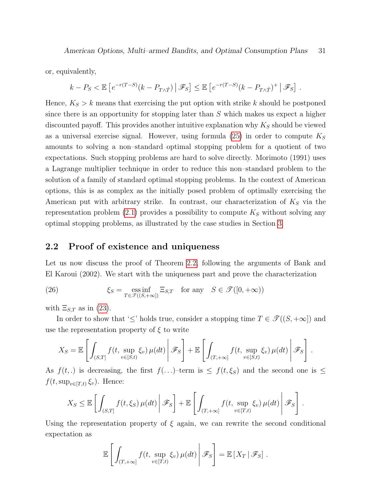or, equivalently,

$$
k-P_S < \mathbb{E}\left[e^{-r(T-S)}(k-P_{T\wedge\hat{T}})\,\big|\,\mathscr{F}_S\right] \leq \mathbb{E}\left[e^{-r(T-S)}(k-P_{T\wedge\hat{T}})^+\,\big|\,\mathscr{F}_S\right]\,.
$$

Hence,  $K_S > k$  means that exercising the put option with strike k should be postponed since there is an opportunity for stopping later than  $S$  which makes us expect a higher discounted payoff. This provides another intuitive explanation why  $K_S$  should be viewed as a universal exercise signal. However, using formula  $(25)$  in order to compute  $K_S$ amounts to solving a non–standard optimal stopping problem for a quotient of two expectations. Such stopping problems are hard to solve directly. Morimoto (1991) uses a Lagrange multiplier technique in order to reduce this non–standard problem to the solution of a family of standard optimal stopping problems. In the context of American options, this is as complex as the initially posed problem of optimally exercising the American put with arbitrary strike. In contrast, our characterization of  $K<sub>S</sub>$  via the representation problem [\(2.1\)](#page-27-3) provides a possibility to compute  $K_S$  without solving any optimal stopping problems, as illustrated by the case studies in Section [3.](#page-34-0)

### <span id="page-31-0"></span>2.2 Proof of existence and uniqueness

Let us now discuss the proof of Theorem [2.2,](#page-27-2) following the arguments of Bank and El Karoui (2002). We start with the uniqueness part and prove the characterization

(26) 
$$
\xi_S = \underset{T \in \mathcal{F}((S, +\infty))}{\text{ess inf}} \Xi_{S,T} \quad \text{for any} \quad S \in \mathcal{F}([0, +\infty))
$$

with  $\Xi_{S,T}$  as in [\(23\)](#page-28-1).

In order to show that ' $\leq'$  holds true, consider a stopping time  $T \in \mathcal{T}((S, +\infty])$  and use the representation property of  $\xi$  to write

<span id="page-31-1"></span>
$$
X_S = \mathbb{E}\left[\int_{(S,T]} f(t, \sup_{v \in [S,t)} \xi_v) \,\mu(dt) \middle| \mathscr{F}_S \right] + \mathbb{E}\left[\int_{(T,+\infty]} f(t, \sup_{v \in [S,t)} \xi_v) \,\mu(dt) \middle| \mathscr{F}_S \right].
$$

As  $f(t,.)$  is decreasing, the first  $f(...)$ -term is  $\leq f(t,\xi_S)$  and the second one is  $\leq$  $f(t, \sup_{v \in [T,t)} \xi_v)$ . Hence:

$$
X_S \leq \mathbb{E}\left[\int_{(S,T]} f(t,\xi_S) \,\mu(dt) \,\bigg|\,\mathscr{F}_S\right] + \mathbb{E}\left[\int_{(T,+\infty]} f(t,\sup_{v\in[T,t)} \xi_v) \,\mu(dt) \,\bigg|\,\mathscr{F}_S\right].
$$

Using the representation property of  $\xi$  again, we can rewrite the second conditional expectation as

$$
\mathbb{E}\left[\int_{(T,+\infty]}f(t,\sup_{v\in[T,t)}\xi_v)\,\mu(dt)\,\bigg|\,\mathscr{F}_S\right]=\mathbb{E}\left[X_T\,|\,\mathscr{F}_S\right].
$$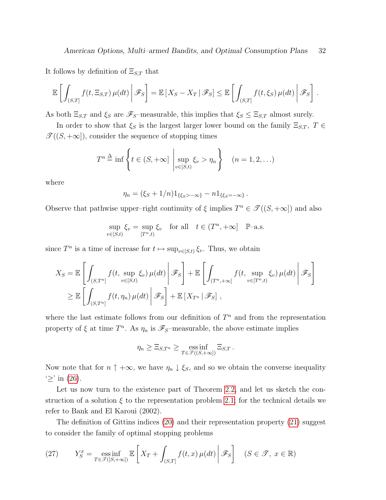It follows by definition of  $\Xi_{S,T}$  that

$$
\mathbb{E}\left[\int_{(S,T]}f(t,\Xi_{S,T})\,\mu(dt)\,\bigg|\,\mathscr{F}_S\right]=\mathbb{E}\left[X_S-X_T\,|\,\mathscr{F}_S\right]\leq\mathbb{E}\left[\int_{(S,T]}f(t,\xi_S)\,\mu(dt)\,\bigg|\,\mathscr{F}_S\right].
$$

As both  $\Xi_{S,T}$  and  $\xi_S$  are  $\mathscr{F}_S$ –measurable, this implies that  $\xi_S \leq \Xi_{S,T}$  almost surely.

In order to show that  $\xi_S$  is the largest larger lower bound on the family  $\Xi_{S,T}$ ,  $T \in$  $\mathcal{T}((S, +\infty])$ , consider the sequence of stopping times

$$
T^n \stackrel{\Delta}{=} \inf \left\{ t \in (S, +\infty] \; \left| \sup_{v \in [S,t)} \xi_v > \eta_n \right. \right\} \quad (n = 1, 2, \ldots)
$$

where

$$
\eta_n = (\xi_S + 1/n)1_{\{\xi_S > -\infty\}} - n1_{\{\xi_S = -\infty\}}.
$$

Observe that pathwise upper–right continuity of  $\xi$  implies  $T^n \in \mathcal{T}((S, +\infty])$  and also

$$
\sup_{v \in [S,t)} \xi_v = \sup_{[T^n,t)} \xi_v \quad \text{for all} \quad t \in (T^n, +\infty] \quad \mathbb{P}\text{--a.s.}
$$

since  $T^n$  is a time of increase for  $t \mapsto \sup_{v \in [S,t]} \xi_v$ . Thus, we obtain

$$
X_S = \mathbb{E}\left[\int_{(S,T^n]} f(t, \sup_{v \in [S,t)} \xi_v) \,\mu(dt) \middle| \mathscr{F}_S \right] + \mathbb{E}\left[\int_{(T^n,+\infty]} f(t, \sup_{v \in [T^n,t)} \xi_v) \,\mu(dt) \middle| \mathscr{F}_S \right]
$$
  

$$
\geq \mathbb{E}\left[\int_{(S,T^n]} f(t,\eta_n) \,\mu(dt) \middle| \mathscr{F}_S \right] + \mathbb{E}\left[X_{T^n} \middle| \mathscr{F}_S \right],
$$

where the last estimate follows from our definition of  $T<sup>n</sup>$  and from the representation property of  $\xi$  at time  $T^n$ . As  $\eta_n$  is  $\mathscr{F}_S$ -measurable, the above estimate implies

<span id="page-32-0"></span>
$$
\eta_n \geq \Xi_{S,T^n} \geq \underset{T \in \mathcal{F}((S,+\infty])}{\text{ess inf}} \Xi_{S,T}.
$$

Now note that for  $n \uparrow +\infty$ , we have  $\eta_n \downarrow \xi_S$ , and so we obtain the converse inequality  $\geq$ ' in [\(26\)](#page-31-1).

Let us now turn to the existence part of Theorem [2.2,](#page-27-2) and let us sketch the construction of a solution  $\xi$  to the representation problem [2.1;](#page-27-3) for the technical details we refer to Bank and El Karoui (2002).

The definition of Gittins indices [\(20\)](#page-26-2) and their representation property [\(21\)](#page-26-1) suggest to consider the family of optimal stopping problems

(27) 
$$
Y_S^x = \operatorname*{ess\,inf}_{T \in \mathcal{T}([S, +\infty])} \mathbb{E}\left[X_T + \int_{(S,T]} f(t, x) \,\mu(dt) \middle| \mathcal{F}_S\right] \quad (S \in \mathcal{T}, \ x \in \mathbb{R})
$$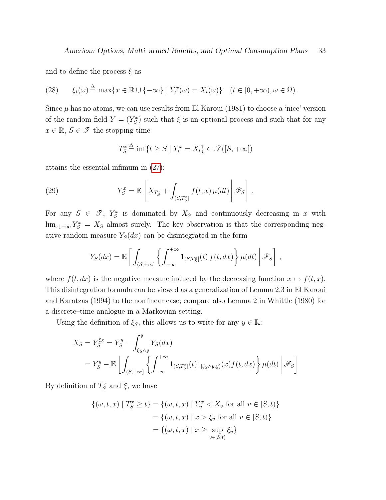and to define the process  $\xi$  as

(28) 
$$
\xi_t(\omega) \stackrel{\Delta}{=} \max\{x \in \mathbb{R} \cup \{-\infty\} \mid Y_t^x(\omega) = X_t(\omega)\} \quad (t \in [0, +\infty), \omega \in \Omega).
$$

Since  $\mu$  has no atoms, we can use results from El Karoui (1981) to choose a 'nice' version of the random field  $Y = (Y_S^x)$  such that  $\xi$  is an optional process and such that for any  $x \in \mathbb{R}, S \in \mathcal{T}$  the stopping time

<span id="page-33-0"></span>
$$
T_S^x \stackrel{\Delta}{=} \inf\{t \ge S \mid Y_t^x = X_t\} \in \mathcal{T}([S, +\infty])
$$

attains the essential infimum in [\(27\)](#page-32-0):

(29) 
$$
Y_S^x = \mathbb{E}\left[X_{T_S^x} + \int_{(S,T_S^x]} f(t,x)\,\mu(dt)\middle|\mathscr{F}_S\right].
$$

For any  $S \in \mathscr{T}$ ,  $Y_S^x$  is dominated by  $X_S$  and continuously decreasing in x with lim<sub>x↓</sub>–<sub>∞</sub>  $Y_S^x = X_S$  almost surely. The key observation is that the corresponding negative random measure  $Y<sub>S</sub>(dx)$  can be disintegrated in the form

$$
Y_S(dx) = \mathbb{E}\left[\int_{(S,+\infty]} \left\{ \int_{-\infty}^{+\infty} 1_{(S,T_S^x]}(t) f(t, dx) \right\} \mu(dt) \middle| \mathscr{F}_S\right],
$$

where  $f(t, dx)$  is the negative measure induced by the decreasing function  $x \mapsto f(t, x)$ . This disintegration formula can be viewed as a generalization of Lemma 2.3 in El Karoui and Karatzas (1994) to the nonlinear case; compare also Lemma 2 in Whittle (1980) for a discrete–time analogue in a Markovian setting.

Using the definition of  $\xi_S$ , this allows us to write for any  $y \in \mathbb{R}$ :

$$
X_S = Y_S^{\xi_S} = Y_S^y - \int_{\xi_S \wedge y}^y Y_S(dx)
$$
  
=  $Y_S^y - \mathbb{E} \left[ \int_{(S, +\infty]} \left\{ \int_{-\infty}^{+\infty} 1_{(S, T_S^x]}(t) 1_{[\xi_S \wedge y, y]}(x) f(t, dx) \right\} \mu(dt) \middle| \mathcal{F}_S \right]$ 

By definition of  $T_S^x$  and  $\xi$ , we have

$$
\{(\omega, t, x) \mid T_S^x \ge t\} = \{(\omega, t, x) \mid Y_v^x < X_v \text{ for all } v \in [S, t)\}
$$
\n
$$
= \{(\omega, t, x) \mid x > \xi_v \text{ for all } v \in [S, t)\}
$$
\n
$$
= \{(\omega, t, x) \mid x \ge \sup_{v \in [S, t)} \xi_v\}
$$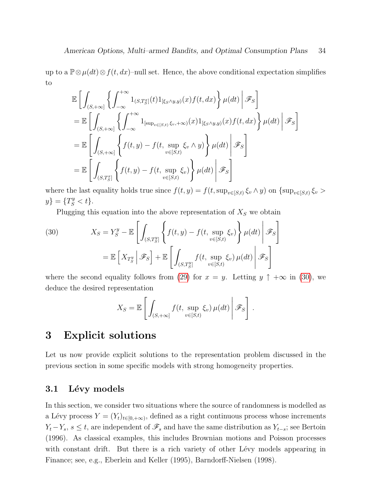up to a  $\mathbb{P}\otimes\mu(dt)\otimes f(t, dx)$ –null set. Hence, the above conditional expectation simplifies to

$$
\mathbb{E}\left[\int_{(S,+\infty]} \left\{\int_{-\infty}^{+\infty} \mathbf{1}_{(S,T_S^x]}(t) \mathbf{1}_{[\xi_S \wedge y,y)}(x) f(t, dx)\right\} \mu(dt) \middle| \mathscr{F}_S\right]
$$
\n
$$
= \mathbb{E}\left[\int_{(S,+\infty]} \left\{\int_{-\infty}^{+\infty} \mathbf{1}_{[\sup_{v \in [S,t)} \xi_v, +\infty)}(x) \mathbf{1}_{[\xi_S \wedge y,y)}(x) f(t, dx)\right\} \mu(dt) \middle| \mathscr{F}_S\right]
$$
\n
$$
= \mathbb{E}\left[\int_{(S,+\infty]} \left\{f(t,y) - f(t, \sup_{v \in [S,t)} \xi_v \wedge y)\right\} \mu(dt) \middle| \mathscr{F}_S\right]
$$
\n
$$
= \mathbb{E}\left[\int_{(S,T_S^x]} \left\{f(t,y) - f(t, \sup_{v \in [S,t)} \xi_v)\right\} \mu(dt) \middle| \mathscr{F}_S\right]
$$

where the last equality holds true since  $f(t, y) = f(t, \sup_{v \in [S,t)} \xi_v \wedge y)$  on  $\{\sup_{v \in [S,t)} \xi_v >$  $y$ } = { $T_S^y < t$ }.

1

Plugging this equation into the above representation of  $X<sub>S</sub>$  we obtain

<span id="page-34-2"></span>(30) 
$$
X_S = Y_S^y - \mathbb{E}\left[\int_{(S,T_S^y]} \left\{f(t,y) - f(t,\sup_{v \in [S,t)} \xi_v)\right\} \mu(dt)\middle|\mathcal{F}_S\right]
$$

$$
= \mathbb{E}\left[X_{T_S^y} \middle|\mathcal{F}_S\right] + \mathbb{E}\left[\int_{(S,T_S^y]} f(t,\sup_{v \in [S,t)} \xi_v) \mu(dt)\middle|\mathcal{F}_S\right]
$$

where the second equality follows from [\(29\)](#page-33-0) for  $x = y$ . Letting  $y \uparrow +\infty$  in [\(30\)](#page-34-2), we deduce the desired representation

$$
X_S = \mathbb{E}\left[\int_{(S,+\infty]} f(t,\sup_{v\in[S,t)} \xi_v) \,\mu(dt)\middle|\mathscr{F}_S\right].
$$

# <span id="page-34-0"></span>3 Explicit solutions

Let us now provide explicit solutions to the representation problem discussed in the previous section in some specific models with strong homogeneity properties.

#### <span id="page-34-1"></span>3.1 Lévy models

In this section, we consider two situations where the source of randomness is modelled as a Lévy process  $Y = (Y_t)_{t\in[0,+\infty)}$ , defined as a right continuous process whose increments  $Y_t-Y_s$ , s  $\leq t$ , are independent of  $\mathscr{F}_s$  and have the same distribution as  $Y_{t-s}$ ; see Bertoin (1996). As classical examples, this includes Brownian motions and Poisson processes with constant drift. But there is a rich variety of other Lévy models appearing in Finance; see, e.g., Eberlein and Keller (1995), Barndorff-Nielsen (1998).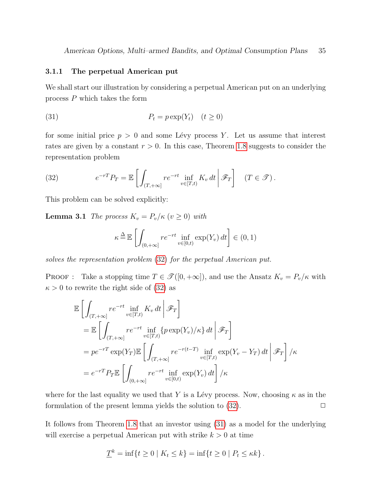#### <span id="page-35-0"></span>3.1.1 The perpetual American put

<span id="page-35-2"></span>We shall start our illustration by considering a perpetual American put on an underlying process P which takes the form

$$
(31) \t\t\t P_t = p \exp(Y_t) \quad (t \ge 0)
$$

<span id="page-35-1"></span>for some initial price  $p > 0$  and some Lévy process Y. Let us assume that interest rates are given by a constant  $r > 0$ . In this case, Theorem [1.8](#page-14-1) suggests to consider the representation problem

(32) 
$$
e^{-rT}P_T = \mathbb{E}\left[\int_{(T,+\infty]}re^{-rt}\inf_{v\in[T,t)}K_v dt\,|\,\mathscr{F}_T\right] \quad (T\in\mathscr{T}).
$$

This problem can be solved explicitly:

**Lemma 3.1** The process  $K_v = P_v/\kappa$  ( $v \ge 0$ ) with

<span id="page-35-3"></span>
$$
\kappa \stackrel{\Delta}{=} \mathbb{E}\left[\int_{(0,+\infty]} r e^{-rt} \inf_{v \in [0,t)} \exp(Y_v) dt\right] \in (0,1)
$$

solves the representation problem [\(32\)](#page-35-1) for the perpetual American put.

**PROOF** : Take a stopping time  $T \in \mathcal{T}([0, +\infty])$ , and use the Ansatz  $K_v = P_v/\kappa$  with  $\kappa > 0$  to rewrite the right side of [\(32\)](#page-35-1) as

$$
\mathbb{E}\left[\int_{(T,+\infty]} r e^{-rt} \inf_{v\in[T,t)} K_v dt \, \middle| \, \mathscr{F}_T\right]
$$
\n
$$
= \mathbb{E}\left[\int_{(T,+\infty]} r e^{-rt} \inf_{v\in[T,t)} \{p \exp(Y_v) / \kappa\} dt \, \middle| \, \mathscr{F}_T\right]
$$
\n
$$
= p e^{-rT} \exp(Y_T) \mathbb{E}\left[\int_{(T,+\infty]} r e^{-r(t-T)} \inf_{v\in[T,t)} \exp(Y_v - Y_T) dt \, \middle| \, \mathscr{F}_T\right] / \kappa
$$
\n
$$
= e^{-rT} P_T \mathbb{E}\left[\int_{(0,+\infty]} r e^{-rt} \inf_{v\in[0,t)} \exp(Y_v) dt\right] / \kappa
$$

where for the last equality we used that Y is a Lévy process. Now, choosing  $\kappa$  as in the formulation of the present lemma yields the solution to  $(32)$ .

It follows from Theorem [1.8](#page-14-1) that an investor using [\(31\)](#page-35-2) as a model for the underlying will exercise a perpetual American put with strike  $k > 0$  at time

$$
\underline{T}^k = \inf\{t \ge 0 \mid K_t \le k\} = \inf\{t \ge 0 \mid P_t \le \kappa k\}.
$$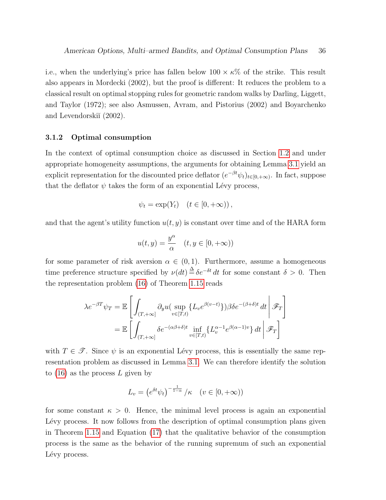i.e., when the underlying's price has fallen below  $100 \times \kappa\%$  of the strike. This result also appears in Mordecki (2002), but the proof is different: It reduces the problem to a classical result on optimal stopping rules for geometric random walks by Darling, Liggett, and Taylor (1972); see also Asmussen, Avram, and Pistorius (2002) and Boyarchenko and Levendorski<sup>(2002)</sup>.

#### <span id="page-36-0"></span>3.1.2 Optimal consumption

In the context of optimal consumption choice as discussed in Section [1.2](#page-20-0) and under appropriate homogeneity assumptions, the arguments for obtaining Lemma [3.1](#page-35-3) yield an explicit representation for the discounted price deflator  $(e^{-\beta t}\psi_t)_{t\in[0,+\infty)}$ . In fact, suppose that the deflator  $\psi$  takes the form of an exponential Lévy process,

$$
\psi_t = \exp(Y_t) \quad (t \in [0, +\infty)),
$$

and that the agent's utility function  $u(t, y)$  is constant over time and of the HARA form

$$
u(t,y) = \frac{y^{\alpha}}{\alpha} \quad (t, y \in [0, +\infty))
$$

for some parameter of risk aversion  $\alpha \in (0,1)$ . Furthermore, assume a homogeneous time preference structure specified by  $\nu(dt) \stackrel{\Delta}{=} \delta e^{-\delta t} dt$  for some constant  $\delta > 0$ . Then the representation problem [\(16\)](#page-23-0) of Theorem [1.15](#page-23-1) reads

$$
\lambda e^{-\beta T} \psi_T = \mathbb{E} \left[ \int_{(T, +\infty]} \partial_y u \left( \sup_{v \in [T, t]} \{ L_v e^{\beta(v-t)} \} \right) \beta \delta e^{-(\beta + \delta)t} dt \middle| \mathcal{F}_T \right]
$$
  
= 
$$
\mathbb{E} \left[ \int_{(T, +\infty]} \delta e^{-(\alpha \beta + \delta)t} \inf_{v \in [T, t]} \{ L_v^{\alpha - 1} e^{\beta(\alpha - 1)v} \} dt \middle| \mathcal{F}_T \right]
$$

with  $T \in \mathscr{T}$ . Since  $\psi$  is an exponential Lévy process, this is essentially the same representation problem as discussed in Lemma [3.1.](#page-35-3) We can therefore identify the solution to  $(16)$  as the process L given by

$$
L_v = \left(e^{\delta t} \psi_t\right)^{-\frac{1}{1-\alpha}} / \kappa \quad (v \in [0, +\infty))
$$

for some constant  $\kappa > 0$ . Hence, the minimal level process is again an exponential Lévy process. It now follows from the description of optimal consumption plans given in Theorem [1.15](#page-23-1) and Equation [\(17\)](#page-24-1) that the qualitative behavior of the consumption process is the same as the behavior of the running supremum of such an exponential Lévy process.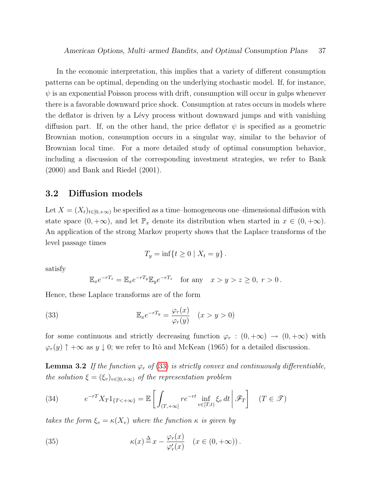In the economic interpretation, this implies that a variety of different consumption patterns can be optimal, depending on the underlying stochastic model. If, for instance,  $\psi$  is an exponential Poisson process with drift, consumption will occur in gulps whenever there is a favorable downward price shock. Consumption at rates occurs in models where the deflator is driven by a Lévy process without downward jumps and with vanishing diffusion part. If, on the other hand, the price deflator  $\psi$  is specified as a geometric Brownian motion, consumption occurs in a singular way, similar to the behavior of Brownian local time. For a more detailed study of optimal consumption behavior, including a discussion of the corresponding investment strategies, we refer to Bank (2000) and Bank and Riedel (2001).

#### <span id="page-37-0"></span>3.2 Diffusion models

Let  $X = (X_t)_{t\in[0,+\infty)}$  be specified as a time–homogeneous one–dimensional diffusion with state space  $(0, +\infty)$ , and let  $\mathbb{P}_x$  denote its distribution when started in  $x \in (0, +\infty)$ . An application of the strong Markov property shows that the Laplace transforms of the level passage times

<span id="page-37-3"></span><span id="page-37-2"></span><span id="page-37-1"></span>
$$
T_y = \inf\{t \ge 0 \mid X_t = y\}.
$$

satisfy

$$
\mathbb{E}_x e^{-rT_z} = \mathbb{E}_x e^{-rT_y} \mathbb{E}_y e^{-rT_z} \quad \text{for any} \quad x > y > z \ge 0, \ r > 0.
$$

Hence, these Laplace transforms are of the form

(33) 
$$
\mathbb{E}_x e^{-rT_y} = \frac{\varphi_r(x)}{\varphi_r(y)} \quad (x > y > 0)
$$

for some continuous and strictly decreasing function  $\varphi_r : (0, +\infty) \to (0, +\infty)$  with  $\varphi_r(y)$   $\uparrow +\infty$  as  $y \downarrow 0$ ; we refer to Itô and McKean (1965) for a detailed discussion.

<span id="page-37-4"></span>**Lemma 3.2** If the function  $\varphi_r$  of [\(33\)](#page-37-1) is strictly convex and continuously differentiable, the solution  $\xi = (\xi_v)_{v \in [0, +\infty)}$  of the representation problem

(34) 
$$
e^{-rT}X_T1_{\{T<+\infty\}} = \mathbb{E}\left[\int_{(T,+\infty]}re^{-rt}\inf_{v\in[T,t)}\xi_v dt\,|\,\mathscr{F}_T\right] \quad (T\in\mathcal{F})
$$

takes the form  $\xi_v = \kappa(X_v)$  where the function  $\kappa$  is given by

(35) 
$$
\kappa(x) \stackrel{\Delta}{=} x - \frac{\varphi_r(x)}{\varphi'_r(x)} \quad (x \in (0, +\infty)).
$$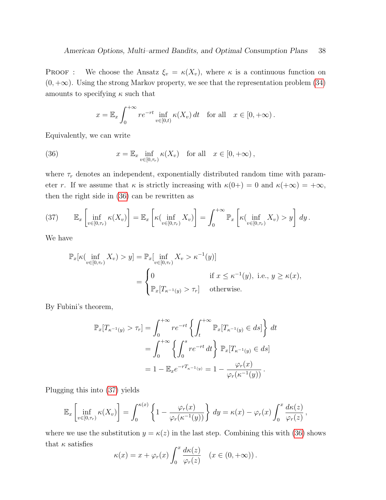**PROOF** : We choose the Ansatz  $\xi_v = \kappa(X_v)$ , where  $\kappa$  is a continuous function on  $(0, +\infty)$ . Using the strong Markov property, we see that the representation problem [\(34\)](#page-37-2) amounts to specifying  $\kappa$  such that

<span id="page-38-0"></span>
$$
x = \mathbb{E}_x \int_0^{+\infty} r e^{-rt} \inf_{v \in [0,t)} \kappa(X_v) dt \quad \text{for all} \quad x \in [0, +\infty).
$$

Equivalently, we can write

(36) 
$$
x = \mathbb{E}_{x} \inf_{v \in [0,\tau_r)} \kappa(X_v) \quad \text{for all} \quad x \in [0,+\infty),
$$

where  $\tau_r$  denotes an independent, exponentially distributed random time with parameter r. If we assume that  $\kappa$  is strictly increasing with  $\kappa(0+)=0$  and  $\kappa(+\infty)=+\infty$ , then the right side in [\(36\)](#page-38-0) can be rewritten as

<span id="page-38-1"></span>(37) 
$$
\mathbb{E}_x \left[ \inf_{v \in [0,\tau_r)} \kappa(X_v) \right] = \mathbb{E}_x \left[ \kappa \left( \inf_{v \in [0,\tau_r)} X_v \right) \right] = \int_0^{+\infty} \mathbb{P}_x \left[ \kappa \left( \inf_{v \in [0,\tau_r)} X_v \right) > y \right] dy.
$$

We have

$$
\mathbb{P}_x[\kappa(\inf_{v \in [0,\tau_r)} X_v) > y] = \mathbb{P}_x[\inf_{v \in [0,\tau_r)} X_v > \kappa^{-1}(y)]
$$
  
= 
$$
\begin{cases} 0 & \text{if } x \leq \kappa^{-1}(y), \text{ i.e., } y \geq \kappa(x), \\ \mathbb{P}_x[T_{\kappa^{-1}(y)} > \tau_r] & \text{otherwise.} \end{cases}
$$

By Fubini's theorem,

$$
\mathbb{P}_x[T_{\kappa^{-1}(y)} > \tau_r] = \int_0^{+\infty} r e^{-rt} \left\{ \int_t^{+\infty} \mathbb{P}_x[T_{\kappa^{-1}(y)} \in ds] \right\} dt
$$
  
= 
$$
\int_0^{+\infty} \left\{ \int_0^s r e^{-rt} dt \right\} \mathbb{P}_x[T_{\kappa^{-1}(y)} \in ds]
$$
  
= 
$$
1 - \mathbb{E}_x e^{-rT_{\kappa^{-1}(y)}} = 1 - \frac{\varphi_r(x)}{\varphi_r(\kappa^{-1}(y))}.
$$

Plugging this into [\(37\)](#page-38-1) yields

$$
\mathbb{E}_x \left[ \inf_{v \in [0,\tau_r)} \kappa(X_v) \right] = \int_0^{\kappa(x)} \left\{ 1 - \frac{\varphi_r(x)}{\varphi_r(\kappa^{-1}(y))} \right\} dy = \kappa(x) - \varphi_r(x) \int_0^x \frac{d\kappa(z)}{\varphi_r(z)},
$$

where we use the substitution  $y = \kappa(z)$  in the last step. Combining this with [\(36\)](#page-38-0) shows that  $\kappa$  satisfies

$$
\kappa(x) = x + \varphi_r(x) \int_0^x \frac{d\kappa(z)}{\varphi_r(z)} \quad (x \in (0, +\infty)).
$$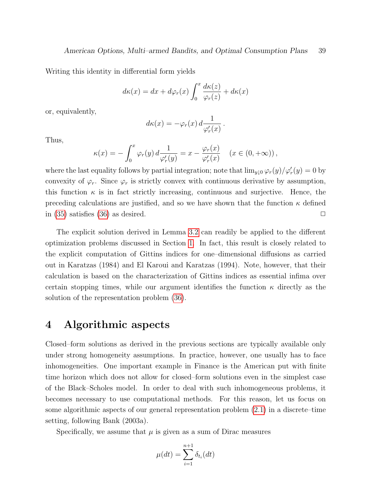Writing this identity in differential form yields

$$
d\kappa(x) = dx + d\varphi_r(x) \int_0^x \frac{d\kappa(z)}{\varphi_r(z)} + d\kappa(x)
$$

or, equivalently,

$$
d\kappa(x) = -\varphi_r(x) d \frac{1}{\varphi'_r(x)}.
$$

Thus,

$$
\kappa(x) = -\int_0^x \varphi_r(y) d\frac{1}{\varphi'_r(y)} = x - \frac{\varphi_r(x)}{\varphi'_r(x)} \quad (x \in (0, +\infty)),
$$

where the last equality follows by partial integration; note that  $\lim_{y\downarrow 0} \varphi_r(y)/\varphi'_r(y) = 0$  by convexity of  $\varphi_r$ . Since  $\varphi_r$  is strictly convex with continuous derivative by assumption, this function  $\kappa$  is in fact strictly increasing, continuous and surjective. Hence, the preceding calculations are justified, and so we have shown that the function  $\kappa$  defined in [\(35\)](#page-37-3) satisfies [\(36\)](#page-38-0) as desired.  $\Box$ 

The explicit solution derived in Lemma [3.2](#page-37-4) can readily be applied to the different optimization problems discussed in Section [1.](#page-4-0) In fact, this result is closely related to the explicit computation of Gittins indices for one–dimensional diffusions as carried out in Karatzas (1984) and El Karoui and Karatzas (1994). Note, however, that their calculation is based on the characterization of Gittins indices as essential infima over certain stopping times, while our argument identifies the function  $\kappa$  directly as the solution of the representation problem [\(36\)](#page-38-0).

# <span id="page-39-0"></span>4 Algorithmic aspects

Closed–form solutions as derived in the previous sections are typically available only under strong homogeneity assumptions. In practice, however, one usually has to face inhomogeneities. One important example in Finance is the American put with finite time horizon which does not allow for closed–form solutions even in the simplest case of the Black–Scholes model. In order to deal with such inhomogeneous problems, it becomes necessary to use computational methods. For this reason, let us focus on some algorithmic aspects of our general representation problem [\(2.1\)](#page-27-3) in a discrete–time setting, following Bank (2003a).

Specifically, we assume that  $\mu$  is given as a sum of Dirac measures

$$
\mu(dt) = \sum_{i=1}^{n+1} \delta_{t_i}(dt)
$$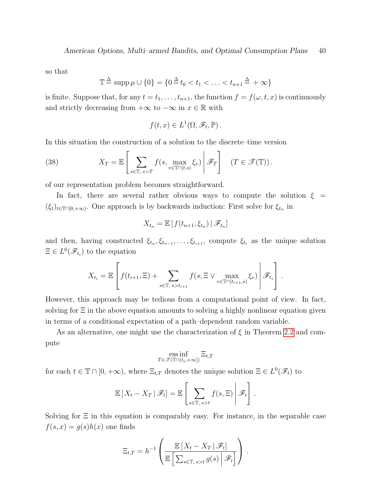so that

$$
\mathbb{T} \stackrel{\Delta}{=} \operatorname{supp} \mu \cup \{0\} = \{0 \stackrel{\Delta}{=} t_0 < t_1 < \ldots < t_{n+1} \stackrel{\Delta}{=} +\infty\}
$$

is finite. Suppose that, for any  $t = t_1, \ldots, t_{n+1}$ , the function  $f = f(\omega, t, x)$  is continuously and strictly decreasing from  $+\infty$  to  $-\infty$  in  $x \in \mathbb{R}$  with

<span id="page-40-0"></span>
$$
f(t,x)\in L^1(\Omega,\mathscr{F}_t,\mathbb{P})\,.
$$

In this situation the construction of a solution to the discrete–time version

(38) 
$$
X_T = \mathbb{E}\left[\sum_{s \in \mathbb{T}, s > T} f(s, \max_{v \in \mathbb{T} \cap [t, s)} \xi_v) \middle| \mathscr{F}_T\right] \quad (T \in \mathcal{T}(\mathbb{T})).
$$

of our representation problem becomes straightforward.

In fact, there are several rather obvious ways to compute the solution  $\xi =$  $(\xi_t)_{t\in\mathbb{T}\cap[0,+\infty)}$ . One approach is by backwards induction: First solve for  $\xi_{t_n}$  in

$$
X_{t_n} = \mathbb{E}\left[f(t_{n+1}, \xi_{t_n})\,|\,\mathcal{F}_{t_n}\right]
$$

and then, having constructed  $\xi_{t_n}, \xi_{t_{n-1}}, \ldots, \xi_{t_{i+1}},$  compute  $\xi_{t_i}$  as the unique solution  $\Xi \in L^0(\mathscr{F}_{t_i})$  to the equation

$$
X_{t_i} = \mathbb{E}\left[f(t_{i+1},\Xi) + \sum_{s\in\mathbb{T},\ s>t_{i+1}}f(s,\Xi \vee \max_{v\in\mathbb{T}\cap[t_{i+1},s)}\xi_v)\middle|\mathscr{F}_{t_i}\right].
$$

However, this approach may be tedious from a computational point of view. In fact, solving for  $\Xi$  in the above equation amounts to solving a highly nonlinear equation given in terms of a conditional expectation of a path–dependent random variable.

As an alternative, one might use the characterization of  $\xi$  in Theorem [2.2](#page-27-2) and compute

$$
\underset{T \in \mathcal{F}(\mathbb{T} \cap (t_i, +\infty])}{\operatorname{ess\,inf}} \Xi_{t,T}
$$

for each  $t \in \mathbb{T} \cap [0, +\infty)$ , where  $\Xi_{t,T}$  denotes the unique solution  $\Xi \in L^0(\mathscr{F}_t)$  to

$$
\mathbb{E}\left[X_t - X_T | \mathscr{F}_t\right] = \mathbb{E}\left[\sum_{s \in \mathbb{T}, s > t} f(s, \Xi)\middle| \mathscr{F}_t\right].
$$

Solving for  $\Xi$  in this equation is comparably easy. For instance, in the separable case  $f(s, x) = g(s)h(x)$  one finds

$$
\Xi_{t,T} = h^{-1} \left( \frac{\mathbb{E} \left[ X_t - X_T \, | \, \mathcal{F}_t \right]}{\mathbb{E} \left[ \sum_{s \in \mathbb{T}, s > t} g(s) \, | \, \mathcal{F}_t \right]} \right).
$$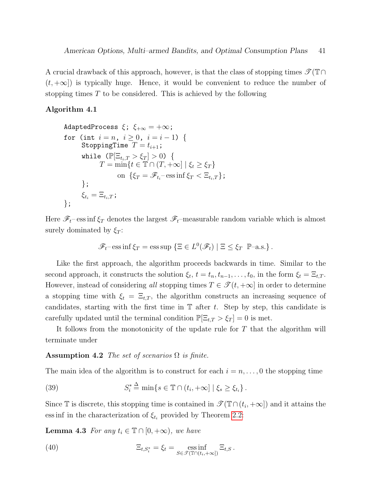A crucial drawback of this approach, however, is that the class of stopping times  $\mathscr{T}(\mathbb{T} \cap$  $(t, +\infty)$  is typically huge. Hence, it would be convenient to reduce the number of stopping times  $T$  to be considered. This is achieved by the following

#### <span id="page-41-0"></span>Algorithm 4.1

AdaptedProcess 
$$
\xi
$$
;  $\xi_{+\infty} = +\infty$ ; for (int  $i = n$ ,  $i \geq 0$ ,  $i = i - 1$ ) { \n StoppingTime  $T = t_{i+1}$ ; \n while  $(\mathbb{P}[\Xi_{t_i,T} > \xi_T] > 0)$  { \n  $T = \min\{t \in \mathbb{T} \cap (T, +\infty) \mid \xi_t \geq \xi_T\}$  \n on  $\{\xi_T = \mathscr{F}_{t_i} - \text{ess}\inf \xi_T < \Xi_{t_i,T}\}$ ; \n  $\xi_{t_i} = \Xi_{t_i,T}$ ; \n }

Here  $\mathscr{F}_t$ – ess inf  $\xi_T$  denotes the largest  $\mathscr{F}_t$ –measurable random variable which is almost surely dominated by  $\xi_T$ :

<span id="page-41-1"></span>
$$
\mathscr{F}_t-\text{ess}\inf \xi_T=\text{ess}\sup \left\{\Xi\in L^0(\mathscr{F}_t)\mid \Xi\leq \xi_T\;\;\mathbb{P}-\text{a.s.}\right\}.
$$

Like the first approach, the algorithm proceeds backwards in time. Similar to the second approach, it constructs the solution  $\xi_t$ ,  $t = t_n, t_{n-1}, \ldots, t_0$ , in the form  $\xi_t = \Xi_{t,T}$ . However, instead of considering all stopping times  $T \in \mathcal{T}(t, +\infty]$  in order to determine a stopping time with  $\xi_t = \Xi_{t,T}$ , the algorithm constructs an increasing sequence of candidates, starting with the first time in  $\mathbb T$  after t. Step by step, this candidate is carefully updated until the terminal condition  $\mathbb{P}[\Xi_{t,T} > \xi_T] = 0$  is met.

It follows from the monotonicity of the update rule for T that the algorithm will terminate under

#### Assumption 4.2 The set of scenarios  $\Omega$  is finite.

The main idea of the algorithm is to construct for each  $i = n, \ldots, 0$  the stopping time

(39) 
$$
S_i^* \stackrel{\Delta}{=} \min\{s \in \mathbb{T} \cap (t_i, +\infty] \mid \xi_s \geq \xi_{t_i}\}.
$$

Since T is discrete, this stopping time is contained in  $\mathscr{T}(\mathbb{T} \cap (t_i, +\infty))$  and it attains the ess inf in the characterization of  $\xi_{t_i}$  provided by Theorem [2.2:](#page-27-2)

<span id="page-41-2"></span>**Lemma 4.3** For any  $t_i \in \mathbb{T} \cap [0, +\infty)$ , we have

(40) 
$$
\Xi_{t,S_i^*} = \xi_t = \operatorname*{ess\,inf}_{S \in \mathcal{T}(\mathbb{T} \cap (t_i, +\infty])} \Xi_{t,S}.
$$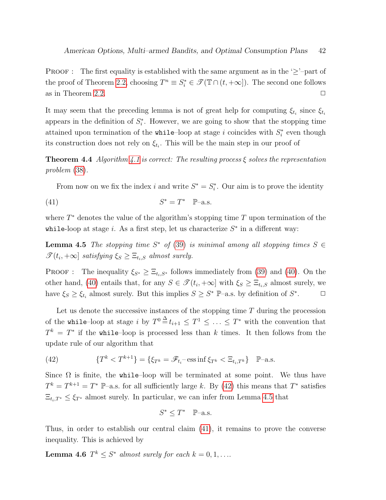**PROOF** : The first equality is established with the same argument as in the ' $\geq$ '-part of the proof of Theorem [2.2,](#page-27-2) choosing  $T^n \equiv S_i^* \in \mathcal{T}(\mathbb{T} \cap (t, +\infty])$ . The second one follows as in Theorem [2.2.](#page-27-2)  $\Box$ 

It may seem that the preceding lemma is not of great help for computing  $\xi_{t_i}$  since  $\xi_{t_i}$ appears in the definition of  $S_i^*$ . However, we are going to show that the stopping time attained upon termination of the while–loop at stage i coincides with  $S_i^*$  even though its construction does not rely on  $\xi_{t_i}$ . This will be the main step in our proof of

**Theorem 4.4** Algorithm [4.1](#page-41-0) is correct: The resulting process  $\xi$  solves the representation problem [\(38\)](#page-40-0).

<span id="page-42-2"></span>From now on we fix the index i and write  $S^* = S_i^*$ . Our aim is to prove the identity

$$
(41) \t\t S^* = T^* \t \mathbb{P}-a.s.
$$

where  $T^*$  denotes the value of the algorithm's stopping time  $T$  upon termination of the while-loop at stage *i*. As a first step, let us characterize  $S^*$  in a different way:

<span id="page-42-1"></span>**Lemma 4.5** The stopping time  $S^*$  of [\(39\)](#page-41-1) is minimal among all stopping times  $S \in$  $\mathscr{T}(t_i, +\infty]$  satisfying  $\xi_S \geq \Xi_{t_i,S}$  almost surely.

**PROOF** : The inequality  $\xi_{S^*} \geq \Xi_{t_i,S^*}$  follows immediately from [\(39\)](#page-41-1) and [\(40\)](#page-41-2). On the other hand, [\(40\)](#page-41-2) entails that, for any  $S \in \mathcal{I}(t_i, +\infty]$  with  $\xi_S \geq \Xi_{t_i,S}$  almost surely, we have  $\xi_S \geq \xi_{t_i}$  almost surely. But this implies  $S \geq S^*$  P-a.s. by definition of  $S^*$  $\Box$ 

Let us denote the successive instances of the stopping time  $T$  during the procession of the while–loop at stage i by  $T^0 \triangleq t_{i+1} \leq T^1 \leq \ldots \leq T^*$  with the convention that  $T^k = T^*$  if the while-loop is processed less than k times. It then follows from the update rule of our algorithm that

(42) 
$$
\{T^k < T^{k+1}\} = \{\xi_{T^k} = \mathscr{F}_{t_i} - \text{ess}\inf \xi_{T^k} < \Xi_{t_i, T^k}\} \quad \mathbb{P}\text{-a.s.}
$$

Since  $\Omega$  is finite, the while–loop will be terminated at some point. We thus have  $T^k = T^{k+1} = T^* \nightharpoonup$  -a.s. for all sufficiently large k. By [\(42\)](#page-42-0) this means that  $T^*$  satisfies  $\Xi_{t_i,T^*} \leq \xi_{T^*}$  almost surely. In particular, we can infer from Lemma [4.5](#page-42-1) that

<span id="page-42-0"></span>
$$
S^* \leq T^* \quad \mathbb{P}\text{--a.s.}
$$

Thus, in order to establish our central claim [\(41\)](#page-42-2), it remains to prove the converse inequality. This is achieved by

**Lemma 4.6**  $T^k \leq S^*$  almost surely for each  $k = 0, 1, \ldots$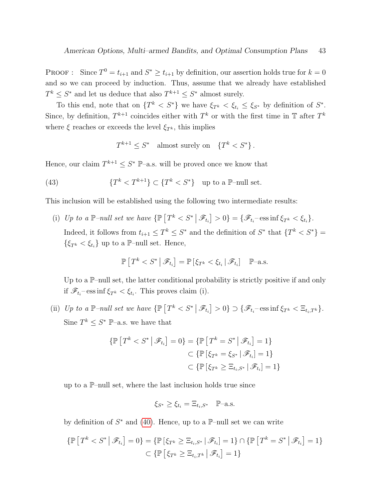**PROOF**: Since  $T^0 = t_{i+1}$  and  $S^* \geq t_{i+1}$  by definition, our assertion holds true for  $k = 0$ and so we can proceed by induction. Thus, assume that we already have established  $T^k \leq S^*$  and let us deduce that also  $T^{k+1} \leq S^*$  almost surely.

To this end, note that on  $\{T^k < S^*\}$  we have  $\xi_{T^k} < \xi_{t_i} \leq \xi_{S^*}$  by definition of  $S^*$ . Since, by definition,  $T^{k+1}$  coincides either with  $T^k$  or with the first time in T after  $T^k$ where  $\xi$  reaches or exceeds the level  $\xi_{T^k}$ , this implies

<span id="page-43-0"></span>
$$
T^{k+1} \le S^* \quad \text{almost surely on} \quad \{T^k < S^*\} \, .
$$

Hence, our claim  $T^{k+1} \leq S^*$  P-a.s. will be proved once we know that

(43) 
$$
\{T^k < T^{k+1}\} \subset \{T^k < S^*\} \quad \text{up to a P-null set.}
$$

This inclusion will be established using the following two intermediate results:

(i) Up to a  $\mathbb{P}-null$  set we have  $\{\mathbb{P}\left[T^k < S^* \,|\, \mathscr{F}_{t_i}\right] > 0\} = \{\mathscr{F}_{t_i} - \text{ess}\inf \xi_{T^k} < \xi_{t_i}\}.$ Indeed, it follows from  $t_{i+1} \leq T^k \leq S^*$  and the definition of  $S^*$  that  $\{T^k < S^*\}$  $\{\xi_{T^k} < \xi_{t_i}\}\$ up to a P-null set. Hence,

$$
\mathbb{P}\left[T^k < S^* \, \big| \, \mathscr{F}_{t_i}\right] = \mathbb{P}\left[\xi_{T^k} < \xi_{t_i} \, \big| \, \mathscr{F}_{t_i}\right] \quad \mathbb{P}\text{-a.s.}
$$

Up to a  $\mathbb{P}-$ -null set, the latter conditional probability is strictly positive if and only if  $\mathscr{F}_{t_i}$ -ess inf  $\xi_{T^k} < \xi_{t_i}$ . This proves claim (i).

(ii) Up to a  $\mathbb{P}-null$  set we have  $\{\mathbb{P}\left[T^k < S^* \,|\, \mathscr{F}_{t_i}\right] > 0\} \supset \{\mathscr{F}_{t_i} - \text{ess}\inf \xi_{T^k} < \Xi_{t_i,T^k}\}.$ Sine  $T^k \leq S^*$  P-a.s. we have that

$$
\{\mathbb{P}\left[T^k < S^* \, \big| \, \mathcal{F}_{t_i}\right] = 0\} = \{\mathbb{P}\left[T^k = S^* \, \big| \, \mathcal{F}_{t_i}\right] = 1\}
$$
\n
$$
\subset \{\mathbb{P}\left[\xi_{T^k} = \xi_{S^*} \, \big| \, \mathcal{F}_{t_i}\right] = 1\}
$$
\n
$$
\subset \{\mathbb{P}\left[\xi_{T^k} \ge \Xi_{t_i, S^*} \, \big| \, \mathcal{F}_{t_i}\right] = 1\}
$$

up to a P–null set, where the last inclusion holds true since

$$
\xi_{S^*} \ge \xi_{t_i} = \Xi_{t_i, S^*} \quad \mathbb{P}\text{-a.s.}
$$

by definition of  $S^*$  and [\(40\)](#page-41-2). Hence, up to a  $\mathbb{P}-$ null set we can write

$$
\{\mathbb{P}\left[T^k < S^* \,|\, \mathcal{F}_{t_i}\right] = 0\} = \{\mathbb{P}\left[\xi_{T^k} \geq \Xi_{t_i, S^*} \,|\, \mathcal{F}_{t_i}\right] = 1\} \cap \{\mathbb{P}\left[T^k = S^* \,|\, \mathcal{F}_{t_i}\right] = 1\} \subset \{\mathbb{P}\left[\xi_{T^k} \geq \Xi_{t_i, T^k} \,|\, \mathcal{F}_{t_i}\right] = 1\}
$$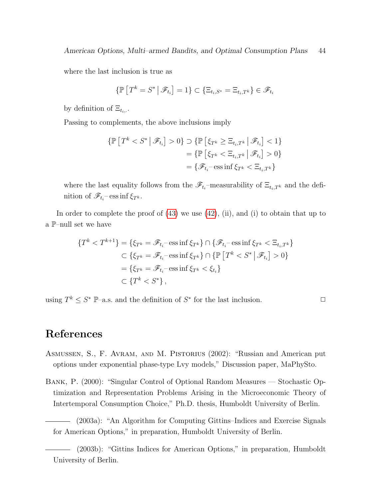where the last inclusion is true as

$$
\{\mathbb{P}\left[T^k = S^* \, \big| \, \mathscr{F}_{t_i}\right] = 1\} \subset \{\Xi_{t_i, S^*} = \Xi_{t_i, T^k}\} \in \mathscr{F}_{t_i}
$$

by definition of  $\Xi_{t_i, \cdot}$ .

Passing to complements, the above inclusions imply

$$
\{\mathbb{P}\left[T^k < S^* \,|\, \mathcal{F}_{t_i}\right] > 0\} \supset \{\mathbb{P}\left[\xi_{T^k} \geq \Xi_{t_i, T^k} \,|\, \mathcal{F}_{t_i}\right] < 1\}
$$
\n
$$
= \{\mathbb{P}\left[\xi_{T^k} < \Xi_{t_i, T^k} \,|\, \mathcal{F}_{t_i}\right] > 0\}
$$
\n
$$
= \{\mathcal{F}_{t_i} - \text{ess}\inf \xi_{T^k} < \Xi_{t_i, T^k}\}
$$

where the last equality follows from the  $\mathscr{F}_{t_i}$ -measurability of  $\Xi_{t_i,T^k}$  and the definition of  $\mathscr{F}_{t_i}$ -ess inf  $\xi_{T^k}$ .

In order to complete the proof of  $(43)$  we use  $(42)$ ,  $(ii)$ , and  $(i)$  to obtain that up to a P–null set we have

$$
\begin{aligned} \{T^k < T^{k+1}\} = \{\xi_{T^k} = \mathscr{F}_{t_i} - \text{ess}\inf\,\xi_{T^k}\} \cap \{\mathscr{F}_{t_i} - \text{ess}\inf\,\xi_{T^k} < \Xi_{t_i, T^k}\} \\ &\subset \{\xi_{T^k} = \mathscr{F}_{t_i} - \text{ess}\inf\,\xi_{T^k}\} \cap \{\mathbb{P}\left[T^k < S^* \,|\, \mathscr{F}_{t_i}\right] > 0\} \\ &= \{\xi_{T^k} = \mathscr{F}_{t_i} - \text{ess}\inf\,\xi_{T^k} < \xi_{t_i}\} \\ &\subset \{T^k < S^*\}, \end{aligned}
$$

using  $T^k \leq S^*$  P-a.s. and the definition of  $S^*$  for the last inclusion.

# References

- Asmussen, S., F. Avram, and M. Pistorius (2002): "Russian and American put options under exponential phase-type Lvy models," Discussion paper, MaPhySto.
- Bank, P. (2000): "Singular Control of Optional Random Measures Stochastic Optimization and Representation Problems Arising in the Microeconomic Theory of Intertemporal Consumption Choice," Ph.D. thesis, Humboldt University of Berlin.

<sup>(2003</sup>a): "An Algorithm for Computing Gittins–Indices and Exercise Signals for American Options," in preparation, Humboldt University of Berlin.

<sup>(2003</sup>b): "Gittins Indices for American Options," in preparation, Humboldt University of Berlin.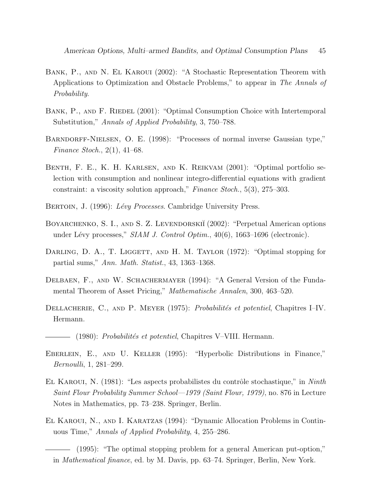- Bank, P., and N. El Karoui (2002): "A Stochastic Representation Theorem with Applications to Optimization and Obstacle Problems," to appear in The Annals of Probability.
- BANK, P., AND F. RIEDEL (2001): "Optimal Consumption Choice with Intertemporal Substitution," Annals of Applied Probability, 3, 750–788.
- BARNDORFF-NIELSEN, O. E. (1998): "Processes of normal inverse Gaussian type," Finance Stoch., 2(1), 41–68.
- Benth, F. E., K. H. Karlsen, and K. Reikvam (2001): "Optimal portfolio selection with consumption and nonlinear integro-differential equations with gradient constraint: a viscosity solution approach," Finance Stoch., 5(3), 275–303.
- BERTOIN, J. (1996): Lévy Processes. Cambridge University Press.
- BOYARCHENKO, S. I., AND S. Z. LEVENDORSKII<sup>"</sup> (2002): "Perpetual American options under Lévy processes," SIAM J. Control Optim.,  $40(6)$ , 1663–1696 (electronic).
- DARLING, D. A., T. LIGGETT, AND H. M. TAYLOR (1972): "Optimal stopping for partial sums," Ann. Math. Statist., 43, 1363–1368.
- DELBAEN, F., AND W. SCHACHERMAYER (1994): "A General Version of the Fundamental Theorem of Asset Pricing," Mathematische Annalen, 300, 463–520.
- DELLACHERIE, C., AND P. MEYER (1975): Probabilités et potentiel, Chapitres I–IV. Hermann.
	- (1980): *Probabilités et potentiel*, Chapitres V–VIII. Hermann.
- EBERLEIN, E., AND U. KELLER (1995): "Hyperbolic Distributions in Finance," Bernoulli, 1, 281–299.
- EL KAROUI, N. (1981): "Les aspects probabilistes du contrôle stochastique," in Ninth Saint Flour Probability Summer School—1979 (Saint Flour, 1979), no. 876 in Lecture Notes in Mathematics, pp. 73–238. Springer, Berlin.
- El Karoui, N., and I. Karatzas (1994): "Dynamic Allocation Problems in Continuous Time," Annals of Applied Probability, 4, 255–286.
- (1995): "The optimal stopping problem for a general American put-option," in Mathematical finance, ed. by M. Davis, pp. 63–74. Springer, Berlin, New York.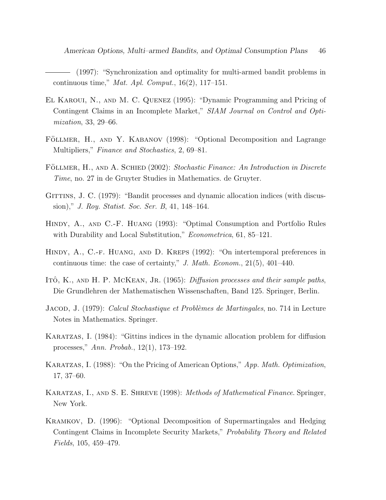(1997): "Synchronization and optimality for multi-armed bandit problems in continuous time," Mat. Apl. Comput.,  $16(2)$ ,  $117-151$ .

- El Karoui, N., and M. C. Quenez (1995): "Dynamic Programming and Pricing of Contingent Claims in an Incomplete Market," SIAM Journal on Control and Optimization, 33, 29–66.
- FÖLLMER, H., AND Y. KABANOV (1998): "Optional Decomposition and Lagrange Multipliers," Finance and Stochastics, 2, 69–81.
- FOLLMER, H., AND A. SCHIED (2002): Stochastic Finance: An Introduction in Discrete Time, no. 27 in de Gruyter Studies in Mathematics. de Gruyter.
- GITTINS, J. C. (1979): "Bandit processes and dynamic allocation indices (with discussion)," J. Roy. Statist. Soc. Ser. B, 41, 148–164.
- Hindy, A., and C.-F. Huang (1993): "Optimal Consumption and Portfolio Rules with Durability and Local Substitution," *Econometrica*, 61, 85–121.
- Hindy, A., C.-f. Huang, and D. Kreps (1992): "On intertemporal preferences in continuous time: the case of certainty," J. Math. Econom., 21(5), 401–440.
- ITÔ, K., AND H. P. MCKEAN, JR.  $(1965)$ : *Diffusion processes and their sample paths*, Die Grundlehren der Mathematischen Wissenschaften, Band 125. Springer, Berlin.
- JACOD, J. (1979): *Calcul Stochastique et Problèmes de Martingales*, no. 714 in Lecture Notes in Mathematics. Springer.
- Karatzas, I. (1984): "Gittins indices in the dynamic allocation problem for diffusion processes," Ann. Probab., 12(1), 173–192.
- Karatzas, I. (1988): "On the Pricing of American Options," App. Math. Optimization, 17, 37–60.
- KARATZAS, I., AND S. E. SHREVE (1998): *Methods of Mathematical Finance*. Springer, New York.
- Kramkov, D. (1996): "Optional Decomposition of Supermartingales and Hedging Contingent Claims in Incomplete Security Markets," Probability Theory and Related Fields, 105, 459–479.